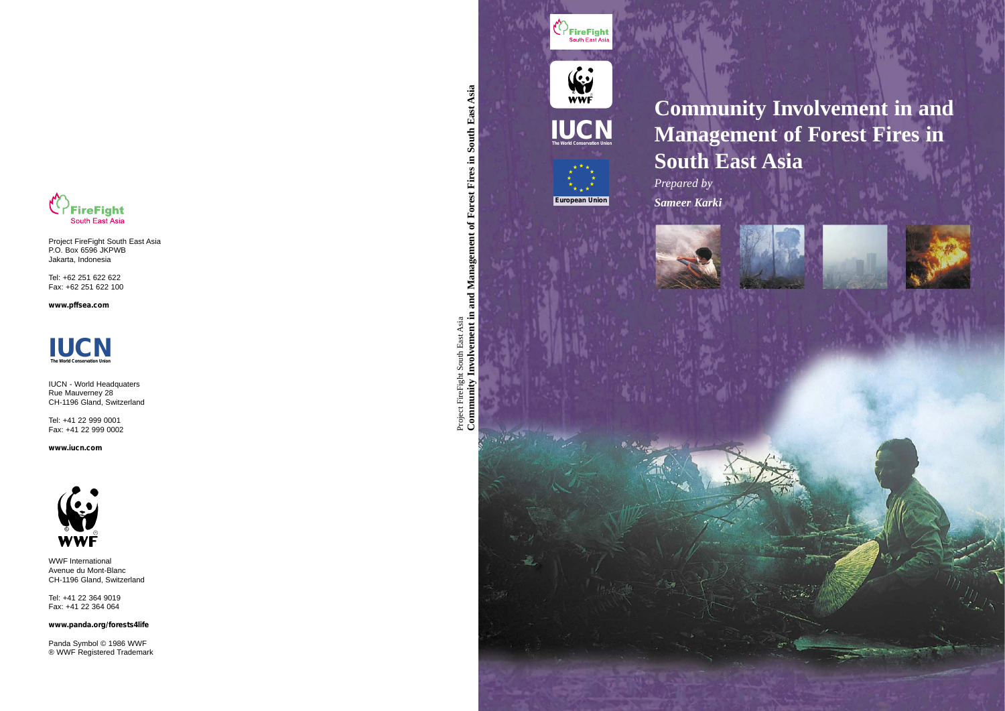# **Community Involvement in and Management of Forest Fires in South East Asia**

Project FireFight South East Asia<br>Community Involvement in and Management of Forest Fires in South East Asia **Community Involvement in and Management of Forest Fires in South East Asia** Project FireFight South East Asia

*Prepared by Sameer Karki*

**European Union**

**IUCN CONSERVATION UNION** 

 $\begin{matrix} \begin{matrix} 0 & 1 \\ 0 & 1 \end{matrix} \\ \begin{matrix} 0 & 1 \\ 0 & 1 \end{matrix} \end{matrix}$ 

**Experience South East Asia** 







Project FireFight South East Asia P.O. Box 6596 JKPWB Jakarta, Indonesia

Tel: +62 251 622 622 Fax: +62 251 622 100

**www.pffsea.com**

IUCN - World Headquaters Rue Mauverney 28 CH-1196 Gland, Switzerland

Tel: +41 22 999 0001 Fax: +41 22 999 0002

**www.iucn.com**



WWF International Avenue du Mont-Blanc CH-1196 Gland, Switzerland

Tel: +41 22 364 9019 Fax: +41 22 364 064

**www.panda.org/forests4life**

Panda Symbol © 1986 WWF ® WWF Registered Trademark

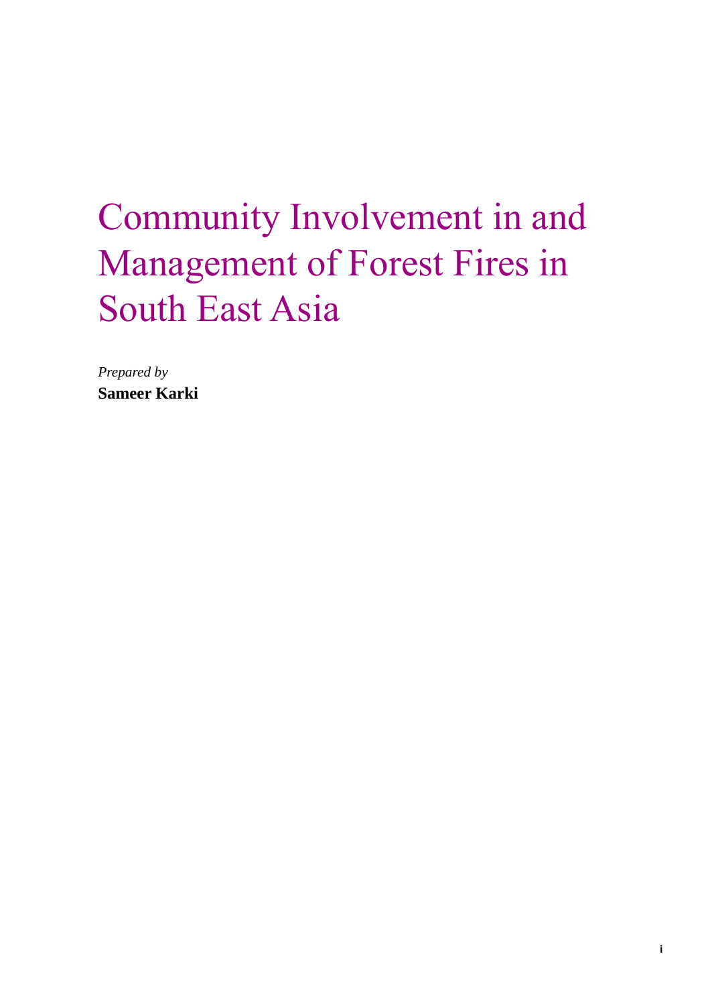# Community Involvement in and Management of Forest Fires in South East Asia

*Prepared by* **Sameer Karki**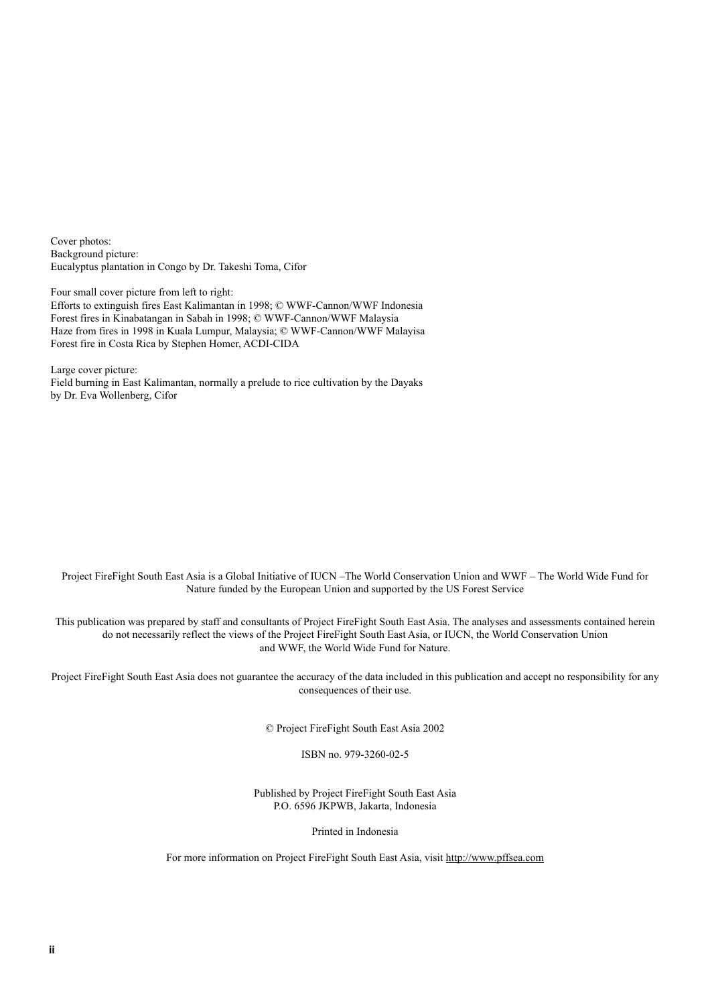Cover photos: Background picture: Eucalyptus plantation in Congo by Dr. Takeshi Toma, Cifor

Four small cover picture from left to right:

Efforts to extinguish fires East Kalimantan in 1998; © WWF-Cannon/WWF Indonesia Forest fires in Kinabatangan in Sabah in 1998; © WWF-Cannon/WWF Malaysia Haze from fires in 1998 in Kuala Lumpur, Malaysia; © WWF-Cannon/WWF Malayisa Forest fire in Costa Rica by Stephen Homer, ACDI-CIDA

Large cover picture: Field burning in East Kalimantan, normally a prelude to rice cultivation by the Dayaks by Dr. Eva Wollenberg, Cifor

Project FireFight South East Asia is a Global Initiative of IUCN –The World Conservation Union and WWF – The World Wide Fund for Nature funded by the European Union and supported by the US Forest Service

This publication was prepared by staff and consultants of Project FireFight South East Asia. The analyses and assessments contained herein do not necessarily reflect the views of the Project FireFight South East Asia, or IUCN, the World Conservation Union and WWF, the World Wide Fund for Nature.

Project FireFight South East Asia does not guarantee the accuracy of the data included in this publication and accept no responsibility for any consequences of their use.

© Project FireFight South East Asia 2002

ISBN no. 979-3260-02-5

Published by Project FireFight South East Asia P.O. 6596 JKPWB, Jakarta, Indonesia

Printed in Indonesia

For more information on Project FireFight South East Asia, visit http://www.pffsea.com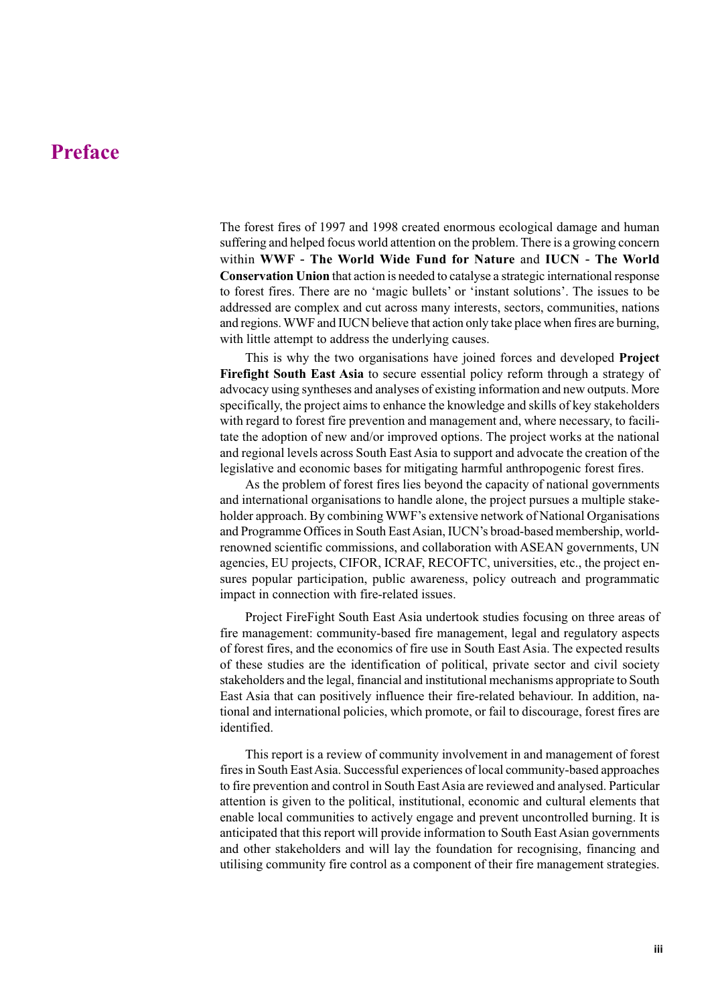### **Preface**

The forest fires of 1997 and 1998 created enormous ecological damage and human suffering and helped focus world attention on the problem. There is a growing concern within **WWF** - **The World Wide Fund for Nature** and **IUCN** - **The World Conservation Union** that action is needed to catalyse a strategic international response to forest fires. There are no 'magic bullets' or 'instant solutions'. The issues to be addressed are complex and cut across many interests, sectors, communities, nations and regions. WWF and IUCN believe that action only take place when fires are burning, with little attempt to address the underlying causes.

This is why the two organisations have joined forces and developed **Project Firefight South East Asia** to secure essential policy reform through a strategy of advocacy using syntheses and analyses of existing information and new outputs. More specifically, the project aims to enhance the knowledge and skills of key stakeholders with regard to forest fire prevention and management and, where necessary, to facilitate the adoption of new and/or improved options. The project works at the national and regional levels across South East Asia to support and advocate the creation of the legislative and economic bases for mitigating harmful anthropogenic forest fires.

As the problem of forest fires lies beyond the capacity of national governments and international organisations to handle alone, the project pursues a multiple stakeholder approach. By combining WWF's extensive network of National Organisations and Programme Offices in South East Asian, IUCN's broad-based membership, worldrenowned scientific commissions, and collaboration with ASEAN governments, UN agencies, EU projects, CIFOR, ICRAF, RECOFTC, universities, etc., the project ensures popular participation, public awareness, policy outreach and programmatic impact in connection with fire-related issues.

Project FireFight South East Asia undertook studies focusing on three areas of fire management: community-based fire management, legal and regulatory aspects of forest fires, and the economics of fire use in South East Asia. The expected results of these studies are the identification of political, private sector and civil society stakeholders and the legal, financial and institutional mechanisms appropriate to South East Asia that can positively influence their fire-related behaviour. In addition, national and international policies, which promote, or fail to discourage, forest fires are identified.

This report is a review of community involvement in and management of forest fires in South East Asia. Successful experiences of local community-based approaches to fire prevention and control in South East Asia are reviewed and analysed. Particular attention is given to the political, institutional, economic and cultural elements that enable local communities to actively engage and prevent uncontrolled burning. It is anticipated that this report will provide information to South East Asian governments and other stakeholders and will lay the foundation for recognising, financing and utilising community fire control as a component of their fire management strategies.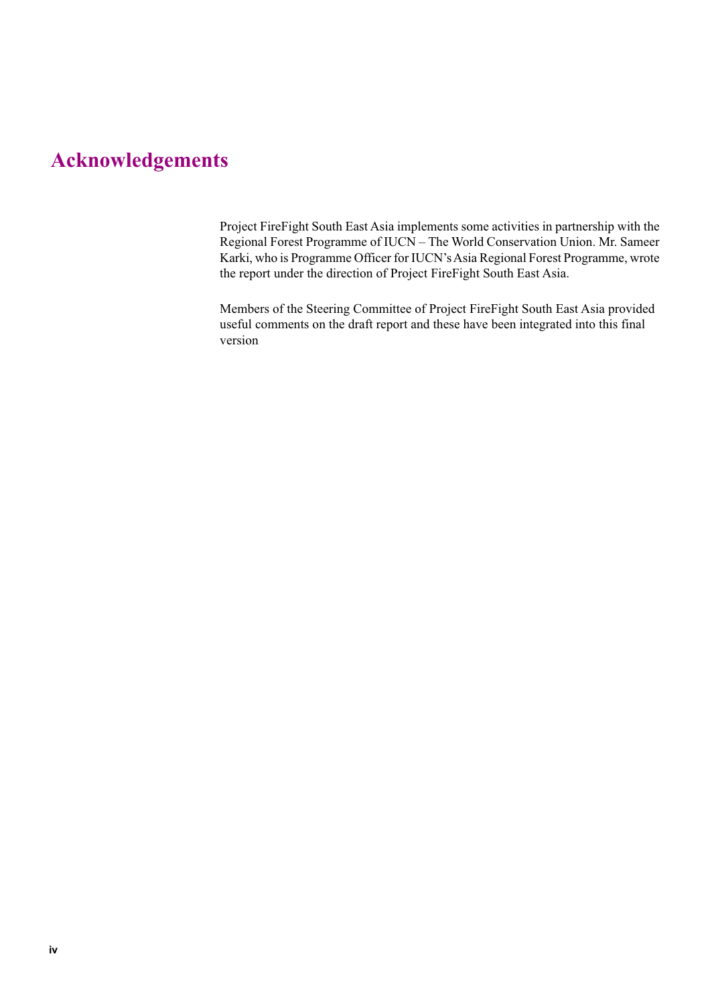# **Acknowledgements**

Project FireFight South East Asia implements some activities in partnership with the Regional Forest Programme of IUCN – The World Conservation Union. Mr. Sameer Karki, who is Programme Officer for IUCN's Asia Regional Forest Programme, wrote the report under the direction of Project FireFight South East Asia.

Members of the Steering Committee of Project FireFight South East Asia provided useful comments on the draft report and these have been integrated into this final version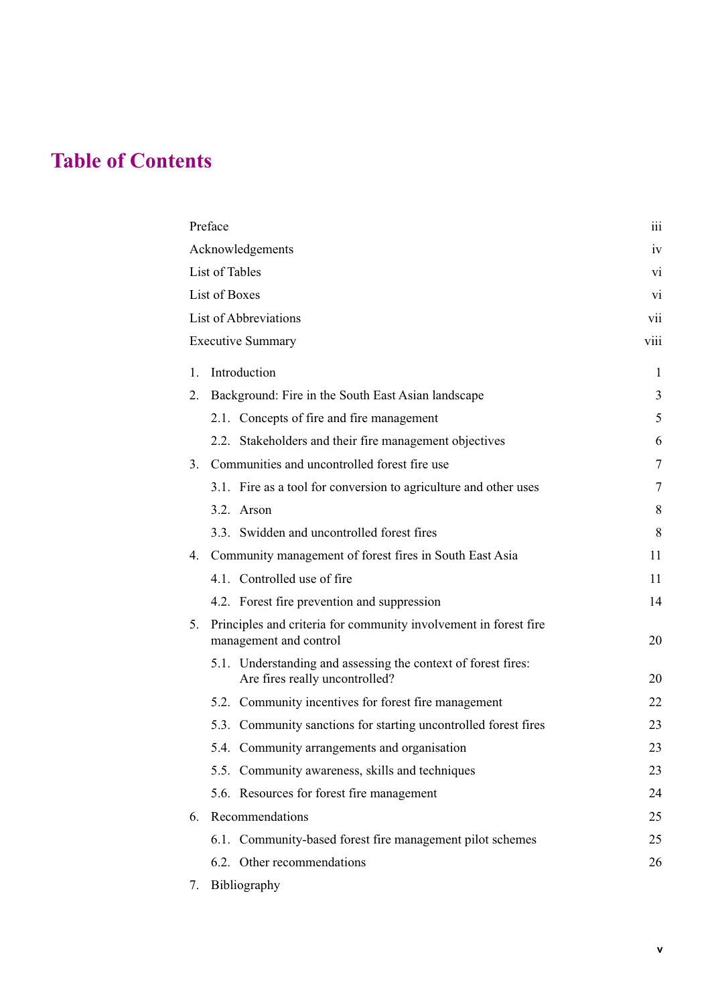# **Table of Contents**

| Preface               |                                                                                                 |                |  |
|-----------------------|-------------------------------------------------------------------------------------------------|----------------|--|
|                       | Acknowledgements                                                                                | iv             |  |
| List of Tables        |                                                                                                 |                |  |
| List of Boxes         |                                                                                                 |                |  |
| List of Abbreviations |                                                                                                 |                |  |
|                       | <b>Executive Summary</b>                                                                        | viii           |  |
| 1.                    | Introduction                                                                                    | 1              |  |
| 2.                    | Background: Fire in the South East Asian landscape                                              | 3              |  |
|                       | 2.1. Concepts of fire and fire management                                                       | 5              |  |
|                       | 2.2. Stakeholders and their fire management objectives                                          | 6              |  |
| 3.                    | Communities and uncontrolled forest fire use                                                    | $\overline{7}$ |  |
|                       | 3.1. Fire as a tool for conversion to agriculture and other uses                                | 7              |  |
|                       | $3.2.$ Arson                                                                                    | 8              |  |
|                       | 3.3. Swidden and uncontrolled forest fires                                                      | 8              |  |
|                       | 4. Community management of forest fires in South East Asia                                      | 11             |  |
|                       | 4.1. Controlled use of fire                                                                     | 11             |  |
|                       | 4.2. Forest fire prevention and suppression                                                     | 14             |  |
| 5.                    | Principles and criteria for community involvement in forest fire<br>management and control      |                |  |
|                       | 5.1. Understanding and assessing the context of forest fires:<br>Are fires really uncontrolled? | 20             |  |
|                       | 5.2. Community incentives for forest fire management                                            | 22             |  |
|                       | 5.3. Community sanctions for starting uncontrolled forest fires                                 | 23             |  |
|                       | 5.4. Community arrangements and organisation                                                    | 23             |  |
|                       | 5.5. Community awareness, skills and techniques                                                 | 23             |  |
|                       | 5.6. Resources for forest fire management                                                       | 24             |  |
| 6.                    | Recommendations                                                                                 | 25             |  |
|                       | 6.1. Community-based forest fire management pilot schemes                                       | 25             |  |
|                       | 6.2. Other recommendations                                                                      | 26             |  |
|                       |                                                                                                 |                |  |

7. Bibliography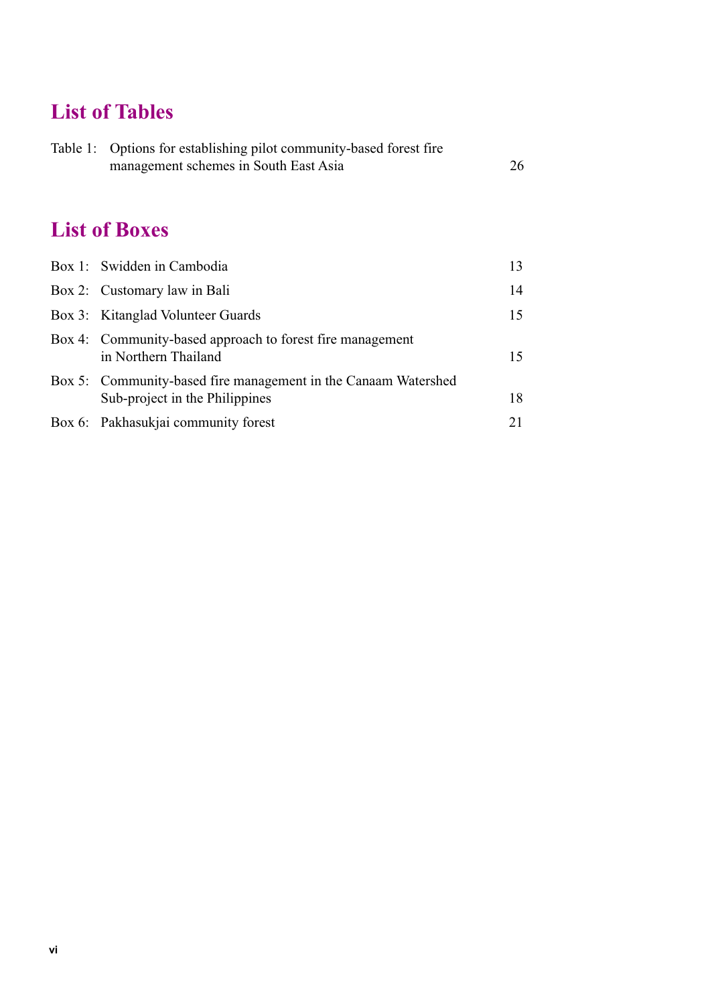# **List of Tables**

|  | Table 1: Options for establishing pilot community-based forest fire |    |  |
|--|---------------------------------------------------------------------|----|--|
|  | management schemes in South East Asia                               | 26 |  |

# **List of Boxes**

| Box 1: Swidden in Cambodia                                                                       | 13 |
|--------------------------------------------------------------------------------------------------|----|
| Box 2: Customary law in Bali                                                                     | 14 |
| Box 3: Kitanglad Volunteer Guards                                                                | 15 |
| Box 4: Community-based approach to forest fire management<br>in Northern Thailand                | 15 |
| Box 5: Community-based fire management in the Canaam Watershed<br>Sub-project in the Philippines | 18 |
| Box 6: Pakhasukjai community forest                                                              | 21 |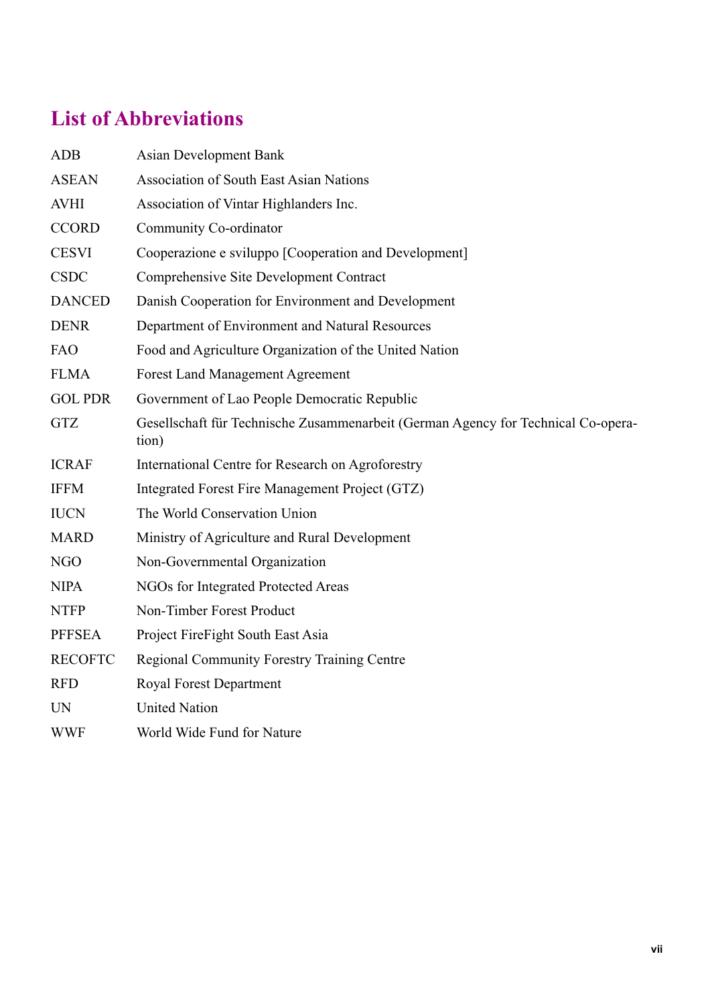# **List of Abbreviations**

| <b>ADB</b>     | <b>Asian Development Bank</b>                                                              |
|----------------|--------------------------------------------------------------------------------------------|
| <b>ASEAN</b>   | <b>Association of South East Asian Nations</b>                                             |
| <b>AVHI</b>    | Association of Vintar Highlanders Inc.                                                     |
| <b>CCORD</b>   | Community Co-ordinator                                                                     |
| <b>CESVI</b>   | Cooperazione e sviluppo [Cooperation and Development]                                      |
| <b>CSDC</b>    | Comprehensive Site Development Contract                                                    |
| <b>DANCED</b>  | Danish Cooperation for Environment and Development                                         |
| <b>DENR</b>    | Department of Environment and Natural Resources                                            |
| <b>FAO</b>     | Food and Agriculture Organization of the United Nation                                     |
| <b>FLMA</b>    | <b>Forest Land Management Agreement</b>                                                    |
| <b>GOL PDR</b> | Government of Lao People Democratic Republic                                               |
| <b>GTZ</b>     | Gesellschaft für Technische Zusammenarbeit (German Agency for Technical Co-opera-<br>tion) |
| <b>ICRAF</b>   | International Centre for Research on Agroforestry                                          |
| <b>IFFM</b>    | Integrated Forest Fire Management Project (GTZ)                                            |
| <b>IUCN</b>    | The World Conservation Union                                                               |
| <b>MARD</b>    | Ministry of Agriculture and Rural Development                                              |
| <b>NGO</b>     | Non-Governmental Organization                                                              |
| <b>NIPA</b>    | NGOs for Integrated Protected Areas                                                        |
| <b>NTFP</b>    | Non-Timber Forest Product                                                                  |
| <b>PFFSEA</b>  | Project FireFight South East Asia                                                          |
| <b>RECOFTC</b> | <b>Regional Community Forestry Training Centre</b>                                         |
| <b>RFD</b>     | <b>Royal Forest Department</b>                                                             |
| <b>UN</b>      | <b>United Nation</b>                                                                       |
| <b>WWF</b>     | World Wide Fund for Nature                                                                 |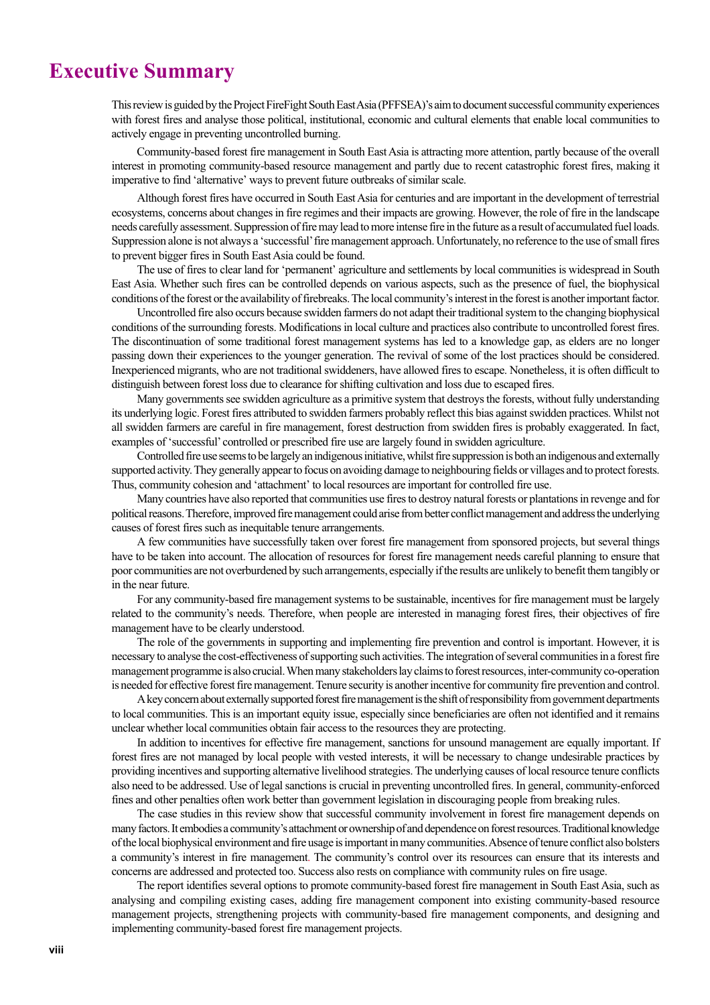### **Executive Summary**

This review is guided by the Project FireFight South East Asia (PFFSEA)'s aim to document successful community experiences with forest fires and analyse those political, institutional, economic and cultural elements that enable local communities to actively engage in preventing uncontrolled burning.

Community-based forest fire management in South East Asia is attracting more attention, partly because of the overall interest in promoting community-based resource management and partly due to recent catastrophic forest fires, making it imperative to find 'alternative' ways to prevent future outbreaks of similar scale.

Although forest fires have occurred in South East Asia for centuries and are important in the development of terrestrial ecosystems, concerns about changes in fire regimes and their impacts are growing. However, the role of fire in the landscape needs carefully assessment. Suppression of fire may lead to more intense fire in the future as a result of accumulated fuel loads. Suppression alone is not always a 'successful' fire management approach. Unfortunately, no reference to the use of small fires to prevent bigger fires in South East Asia could be found.

The use of fires to clear land for 'permanent' agriculture and settlements by local communities is widespread in South East Asia. Whether such fires can be controlled depends on various aspects, such as the presence of fuel, the biophysical conditions of the forest or the availability of firebreaks. The local community's interest in the forest is another important factor.

Uncontrolled fire also occurs because swidden farmers do not adapt their traditional system to the changing biophysical conditions of the surrounding forests. Modifications in local culture and practices also contribute to uncontrolled forest fires. The discontinuation of some traditional forest management systems has led to a knowledge gap, as elders are no longer passing down their experiences to the younger generation. The revival of some of the lost practices should be considered. Inexperienced migrants, who are not traditional swiddeners, have allowed fires to escape. Nonetheless, it is often difficult to distinguish between forest loss due to clearance for shifting cultivation and loss due to escaped fires.

Many governments see swidden agriculture as a primitive system that destroys the forests, without fully understanding its underlying logic. Forest fires attributed to swidden farmers probably reflect this bias against swidden practices. Whilst not all swidden farmers are careful in fire management, forest destruction from swidden fires is probably exaggerated. In fact, examples of 'successful' controlled or prescribed fire use are largely found in swidden agriculture.

Controlled fire use seems to be largely an indigenous initiative, whilst fire suppression is both an indigenous and externally supported activity. They generally appear to focus on avoiding damage to neighbouring fields or villages and to protect forests. Thus, community cohesion and 'attachment' to local resources are important for controlled fire use.

Many countries have also reported that communities use fires to destroy natural forests or plantations in revenge and for political reasons. Therefore, improved fire management could arise from better conflict management and address the underlying causes of forest fires such as inequitable tenure arrangements.

A few communities have successfully taken over forest fire management from sponsored projects, but several things have to be taken into account. The allocation of resources for forest fire management needs careful planning to ensure that poor communities are not overburdened by such arrangements, especially ifthe results are unlikely to benefit them tangibly or in the near future.

For any community-based fire management systems to be sustainable, incentives for fire management must be largely related to the community's needs. Therefore, when people are interested in managing forest fires, their objectives of fire management have to be clearly understood.

The role of the governments in supporting and implementing fire prevention and control is important. However, it is necessary to analyse the cost-effectiveness of supporting such activities. The integration of several communities in a forest fire management programme is also crucial. When many stakeholders lay claims to forest resources, inter-community co-operation is needed for effective forest fire management. Tenure security is another incentive for community fire prevention and control.

A key concern about externally supported forest fire management is the shift of responsibility from government departments to local communities. This is an important equity issue, especially since beneficiaries are often not identified and it remains unclear whether local communities obtain fair access to the resources they are protecting.

In addition to incentives for effective fire management, sanctions for unsound management are equally important. If forest fires are not managed by local people with vested interests, it will be necessary to change undesirable practices by providing incentives and supporting alternative livelihood strategies. The underlying causes of local resource tenure conflicts also need to be addressed. Use of legal sanctions is crucial in preventing uncontrolled fires. In general, community-enforced fines and other penalties often work better than government legislation in discouraging people from breaking rules.

The case studies in this review show that successful community involvement in forest fire management depends on many factors. It embodies a community's attachment or ownership of and dependence on forest resources. Traditional knowledge of the local biophysical environment and fire usage is important in many communities. Absence of tenure conflict also bolsters a community's interest in fire management. The community's control over its resources can ensure that its interests and concerns are addressed and protected too. Success also rests on compliance with community rules on fire usage.

The report identifies several options to promote community-based forest fire management in South East Asia, such as analysing and compiling existing cases, adding fire management component into existing community-based resource management projects, strengthening projects with community-based fire management components, and designing and implementing community-based forest fire management projects.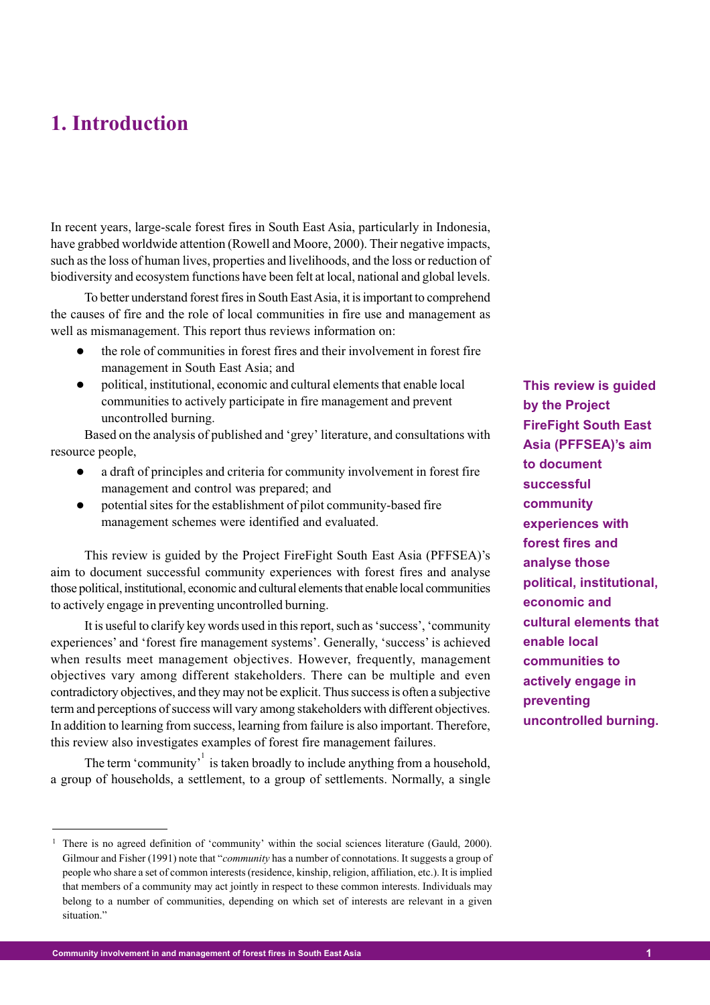# **1. Introduction**

In recent years, large-scale forest fires in South East Asia, particularly in Indonesia, have grabbed worldwide attention (Rowell and Moore, 2000). Their negative impacts, such as the loss of human lives, properties and livelihoods, and the loss or reduction of biodiversity and ecosystem functions have been felt at local, national and global levels.

To better understand forest fires in South East Asia, it is important to comprehend the causes of fire and the role of local communities in fire use and management as well as mismanagement. This report thus reviews information on:

- the role of communities in forest fires and their involvement in forest fire management in South East Asia; and
- political, institutional, economic and cultural elements that enable local communities to actively participate in fire management and prevent uncontrolled burning.

Based on the analysis of published and 'grey' literature, and consultations with resource people,

- a draft of principles and criteria for community involvement in forest fire management and control was prepared; and
- potential sites for the establishment of pilot community-based fire management schemes were identified and evaluated.

This review is guided by the Project FireFight South East Asia (PFFSEA)'s aim to document successful community experiences with forest fires and analyse those political, institutional, economic and cultural elements that enable local communities to actively engage in preventing uncontrolled burning.

It is useful to clarify key words used in this report, such as 'success', 'community experiences' and 'forest fire management systems'. Generally, 'success' is achieved when results meet management objectives. However, frequently, management objectives vary among different stakeholders. There can be multiple and even contradictory objectives, and they may not be explicit. Thus success is often a subjective term and perceptions of success will vary among stakeholders with different objectives. In addition to learning from success, learning from failure is also important. Therefore, this review also investigates examples of forest fire management failures.

The term 'community'<sup>1</sup> is taken broadly to include anything from a household, a group of households, a settlement, to a group of settlements. Normally, a single **This review is guided by the Project FireFight South East Asia (PFFSEA)'s aim to document successful community experiences with forest fires and analyse those political, institutional, economic and cultural elements that enable local communities to actively engage in preventing uncontrolled burning.**

<sup>&</sup>lt;sup>1</sup> There is no agreed definition of 'community' within the social sciences literature (Gauld, 2000). Gilmour and Fisher (1991) note that "*community* has a number of connotations. It suggests a group of people who share a set of common interests (residence, kinship, religion, affiliation, etc.). It is implied that members of a community may act jointly in respect to these common interests. Individuals may belong to a number of communities, depending on which set of interests are relevant in a given situation."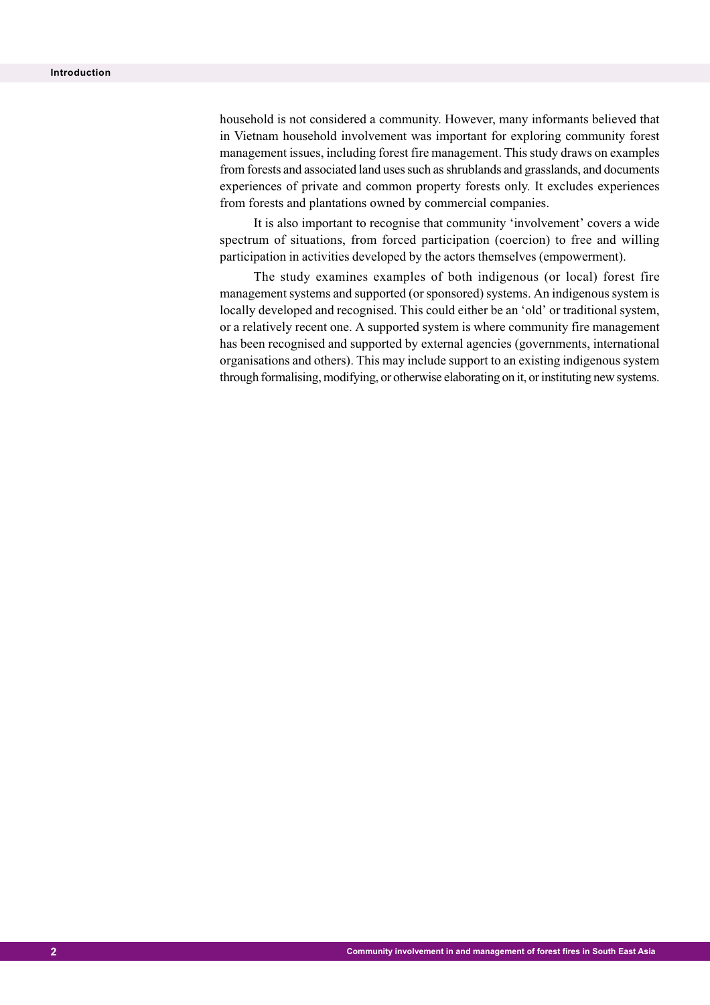household is not considered a community. However, many informants believed that in Vietnam household involvement was important for exploring community forest management issues, including forest fire management. This study draws on examples from forests and associated land uses such as shrublands and grasslands, and documents experiences of private and common property forests only. It excludes experiences from forests and plantations owned by commercial companies.

It is also important to recognise that community 'involvement' covers a wide spectrum of situations, from forced participation (coercion) to free and willing participation in activities developed by the actors themselves (empowerment).

The study examines examples of both indigenous (or local) forest fire management systems and supported (or sponsored) systems. An indigenous system is locally developed and recognised. This could either be an 'old' or traditional system, or a relatively recent one. A supported system is where community fire management has been recognised and supported by external agencies (governments, international organisations and others). This may include support to an existing indigenous system through formalising, modifying, or otherwise elaborating on it, or instituting new systems.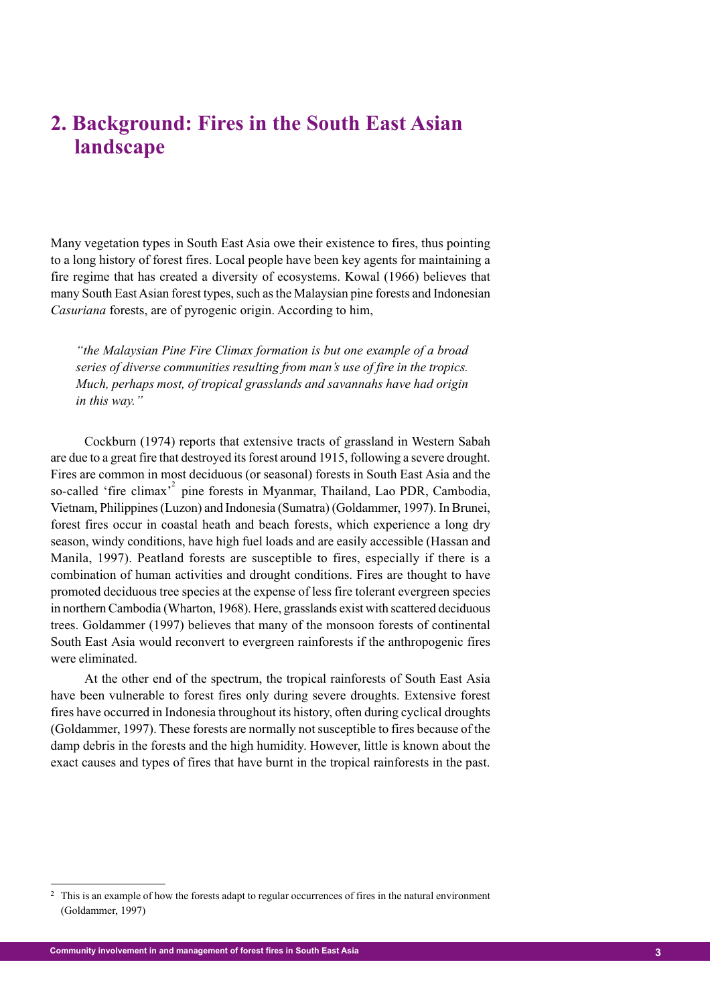# **2. Background: Fires in the South East Asian landscape**

Many vegetation types in South East Asia owe their existence to fires, thus pointing to a long history of forest fires. Local people have been key agents for maintaining a fire regime that has created a diversity of ecosystems. Kowal (1966) believes that many South East Asian forest types, such as the Malaysian pine forests and Indonesian *Casuriana* forests, are of pyrogenic origin. According to him,

*"the Malaysian Pine Fire Climax formation is but one example of a broad series of diverse communities resulting from man's use of fire in the tropics. Much, perhaps most, of tropical grasslands and savannahs have had origin in this way."*

Cockburn (1974) reports that extensive tracts of grassland in Western Sabah are due to a great fire that destroyed its forest around 1915, following a severe drought. Fires are common in most deciduous (or seasonal) forests in South East Asia and the so-called 'fire climax'<sup>2</sup> pine forests in Myanmar, Thailand, Lao PDR, Cambodia, Vietnam, Philippines (Luzon) and Indonesia (Sumatra) (Goldammer, 1997). In Brunei, forest fires occur in coastal heath and beach forests, which experience a long dry season, windy conditions, have high fuel loads and are easily accessible (Hassan and Manila, 1997). Peatland forests are susceptible to fires, especially if there is a combination of human activities and drought conditions. Fires are thought to have promoted deciduous tree species at the expense of less fire tolerant evergreen species in northern Cambodia (Wharton, 1968). Here, grasslands exist with scattered deciduous trees. Goldammer (1997) believes that many of the monsoon forests of continental South East Asia would reconvert to evergreen rainforests if the anthropogenic fires were eliminated.

At the other end of the spectrum, the tropical rainforests of South East Asia have been vulnerable to forest fires only during severe droughts. Extensive forest fires have occurred in Indonesia throughout its history, often during cyclical droughts (Goldammer, 1997). These forests are normally not susceptible to fires because of the damp debris in the forests and the high humidity. However, little is known about the exact causes and types of fires that have burnt in the tropical rainforests in the past.

<sup>2</sup> This is an example of how the forests adapt to regular occurrences of fires in the natural environment (Goldammer, 1997)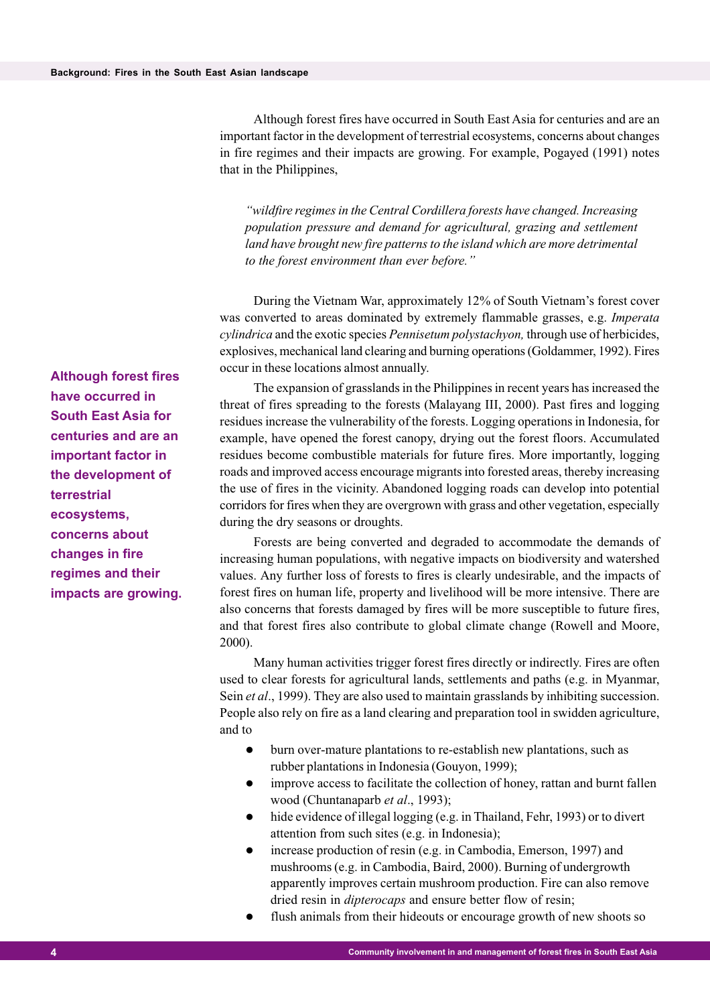Although forest fires have occurred in South East Asia for centuries and are an important factor in the development of terrestrial ecosystems, concerns about changes in fire regimes and their impacts are growing. For example, Pogayed (1991) notes that in the Philippines,

*"wildfire regimes in the Central Cordillera forests have changed. Increasing population pressure and demand for agricultural, grazing and settlement land have brought new fire patterns to the island which are more detrimental to the forest environment than ever before."*

During the Vietnam War, approximately 12% of South Vietnam's forest cover was converted to areas dominated by extremely flammable grasses, e.g. *Imperata cylindrica* and the exotic species *Pennisetum polystachyon,* through use of herbicides, explosives, mechanical land clearing and burning operations (Goldammer, 1992). Fires occur in these locations almost annually.

The expansion of grasslands in the Philippines in recent years has increased the threat of fires spreading to the forests (Malayang III, 2000). Past fires and logging residues increase the vulnerability of the forests. Logging operations in Indonesia, for example, have opened the forest canopy, drying out the forest floors. Accumulated residues become combustible materials for future fires. More importantly, logging roads and improved access encourage migrants into forested areas, thereby increasing the use of fires in the vicinity. Abandoned logging roads can develop into potential corridors for fires when they are overgrown with grass and other vegetation, especially during the dry seasons or droughts.

Forests are being converted and degraded to accommodate the demands of increasing human populations, with negative impacts on biodiversity and watershed values. Any further loss of forests to fires is clearly undesirable, and the impacts of forest fires on human life, property and livelihood will be more intensive. There are also concerns that forests damaged by fires will be more susceptible to future fires, and that forest fires also contribute to global climate change (Rowell and Moore, 2000).

Many human activities trigger forest fires directly or indirectly. Fires are often used to clear forests for agricultural lands, settlements and paths (e.g. in Myanmar, Sein *et al*., 1999). They are also used to maintain grasslands by inhibiting succession. People also rely on fire as a land clearing and preparation tool in swidden agriculture, and to

- burn over-mature plantations to re-establish new plantations, such as rubber plantations in Indonesia (Gouyon, 1999);
- improve access to facilitate the collection of honey, rattan and burnt fallen wood (Chuntanaparb *et al*., 1993);
- hide evidence of illegal logging (e.g. in Thailand, Fehr, 1993) or to divert attention from such sites (e.g. in Indonesia);
- increase production of resin (e.g. in Cambodia, Emerson, 1997) and mushrooms (e.g. in Cambodia, Baird, 2000). Burning of undergrowth apparently improves certain mushroom production. Fire can also remove dried resin in *dipterocaps* and ensure better flow of resin;
	- flush animals from their hideouts or encourage growth of new shoots so

**Although forest fires have occurred in South East Asia for centuries and are an important factor in the development of terrestrial ecosystems, concerns about changes in fire regimes and their impacts are growing.**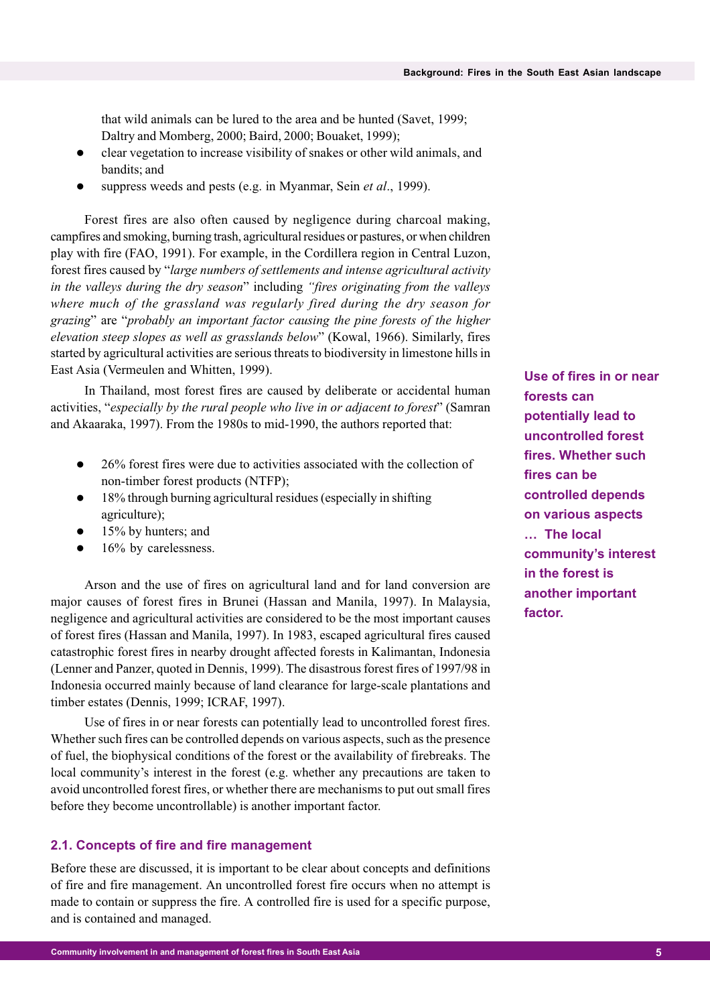that wild animals can be lured to the area and be hunted (Savet, 1999; Daltry and Momberg, 2000; Baird, 2000; Bouaket, 1999);

- clear vegetation to increase visibility of snakes or other wild animals, and bandits; and
- suppress weeds and pests (e.g. in Myanmar, Sein *et al*., 1999).

Forest fires are also often caused by negligence during charcoal making, campfires and smoking, burning trash, agricultural residues or pastures, or when children play with fire (FAO, 1991). For example, in the Cordillera region in Central Luzon, forest fires caused by "*large numbers of settlements and intense agricultural activity in the valleys during the dry season*" including *"fires originating from the valleys where much of the grassland was regularly fired during the dry season for grazing*" are "*probably an important factor causing the pine forests of the higher elevation steep slopes as well as grasslands below*" (Kowal, 1966). Similarly, fires started by agricultural activities are serious threats to biodiversity in limestone hills in East Asia (Vermeulen and Whitten, 1999).

In Thailand, most forest fires are caused by deliberate or accidental human activities, "*especially by the rural people who live in or adjacent to forest*" (Samran and Akaaraka, 1997). From the 1980s to mid-1990, the authors reported that:

- 26% forest fires were due to activities associated with the collection of non-timber forest products (NTFP);
- 18% through burning agricultural residues (especially in shifting agriculture);
- 15% by hunters; and
- 16% by carelessness.

Arson and the use of fires on agricultural land and for land conversion are major causes of forest fires in Brunei (Hassan and Manila, 1997). In Malaysia, negligence and agricultural activities are considered to be the most important causes of forest fires (Hassan and Manila, 1997). In 1983, escaped agricultural fires caused catastrophic forest fires in nearby drought affected forests in Kalimantan, Indonesia (Lenner and Panzer, quoted in Dennis, 1999). The disastrous forest fires of 1997/98 in Indonesia occurred mainly because of land clearance for large-scale plantations and timber estates (Dennis, 1999; ICRAF, 1997).

Use of fires in or near forests can potentially lead to uncontrolled forest fires. Whether such fires can be controlled depends on various aspects, such as the presence of fuel, the biophysical conditions of the forest or the availability of firebreaks. The local community's interest in the forest (e.g. whether any precautions are taken to avoid uncontrolled forest fires, or whether there are mechanisms to put out small fires before they become uncontrollable) is another important factor.

#### **2.1. Concepts of fire and fire management**

Before these are discussed, it is important to be clear about concepts and definitions of fire and fire management. An uncontrolled forest fire occurs when no attempt is made to contain or suppress the fire. A controlled fire is used for a specific purpose, and is contained and managed.

**Use of fires in or near forests can potentially lead to uncontrolled forest fires. Whether such fires can be controlled depends on various aspects … The local community's interest in the forest is another important factor.**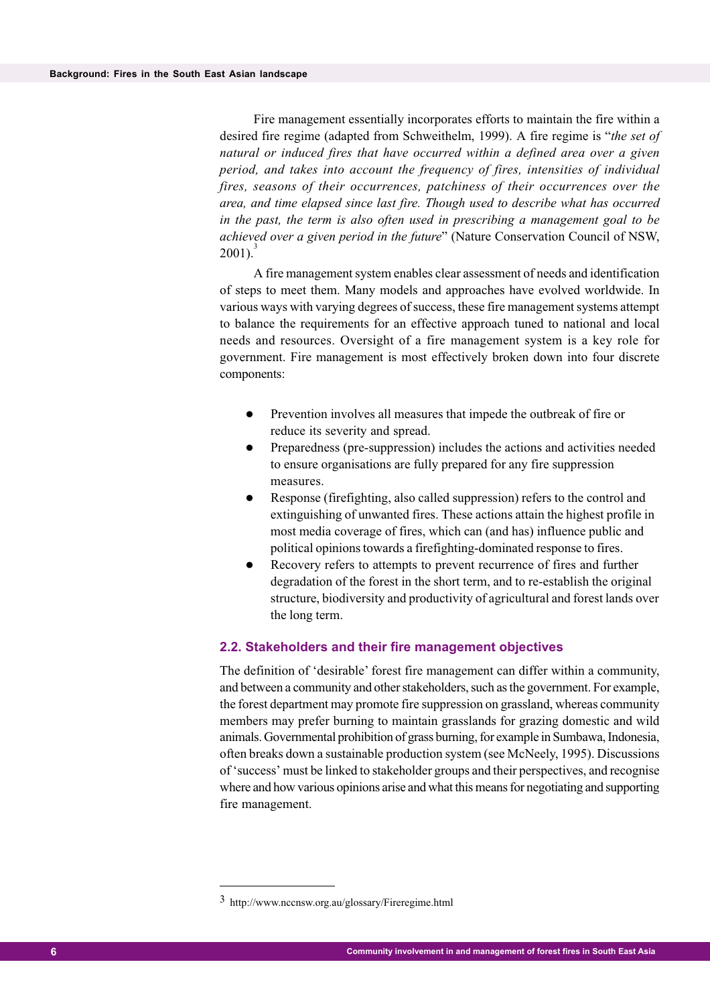Fire management essentially incorporates efforts to maintain the fire within a desired fire regime (adapted from Schweithelm, 1999). A fire regime is "*the set of natural or induced fires that have occurred within a defined area over a given period, and takes into account the frequency of fires, intensities of individual fires, seasons of their occurrences, patchiness of their occurrences over the area, and time elapsed since last fire. Though used to describe what has occurred in the past, the term is also often used in prescribing a management goal to be achieved over a given period in the future*" (Nature Conservation Council of NSW,  $2001$ ).

A fire management system enables clear assessment of needs and identification of steps to meet them. Many models and approaches have evolved worldwide. In various ways with varying degrees of success, these fire management systems attempt to balance the requirements for an effective approach tuned to national and local needs and resources. Oversight of a fire management system is a key role for government. Fire management is most effectively broken down into four discrete components:

- Prevention involves all measures that impede the outbreak of fire or reduce its severity and spread.
- Preparedness (pre-suppression) includes the actions and activities needed to ensure organisations are fully prepared for any fire suppression measures.
- Response (firefighting, also called suppression) refers to the control and extinguishing of unwanted fires. These actions attain the highest profile in most media coverage of fires, which can (and has) influence public and political opinions towards a firefighting-dominated response to fires.
- Recovery refers to attempts to prevent recurrence of fires and further degradation of the forest in the short term, and to re-establish the original structure, biodiversity and productivity of agricultural and forest lands over the long term.

#### **2.2. Stakeholders and their fire management objectives**

The definition of 'desirable' forest fire management can differ within a community, and between a community and other stakeholders, such as the government. For example, the forest department may promote fire suppression on grassland, whereas community members may prefer burning to maintain grasslands for grazing domestic and wild animals. Governmental prohibition of grass burning, for example in Sumbawa, Indonesia, often breaks down a sustainable production system (see McNeely, 1995). Discussions of 'success' must be linked to stakeholder groups and their perspectives, and recognise where and how various opinions arise and what this means for negotiating and supporting fire management.

<sup>3</sup> http://www.nccnsw.org.au/glossary/Fireregime.html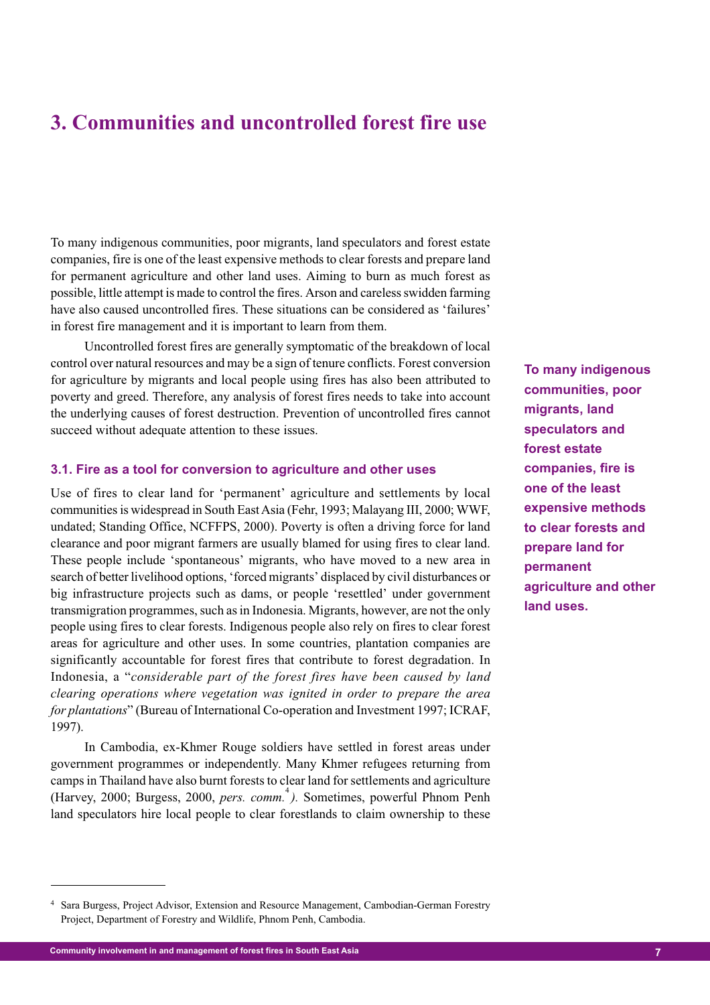# **3. Communities and uncontrolled forest fire use**

To many indigenous communities, poor migrants, land speculators and forest estate companies, fire is one of the least expensive methods to clear forests and prepare land for permanent agriculture and other land uses. Aiming to burn as much forest as possible, little attempt is made to control the fires. Arson and careless swidden farming have also caused uncontrolled fires. These situations can be considered as 'failures' in forest fire management and it is important to learn from them.

Uncontrolled forest fires are generally symptomatic of the breakdown of local control over natural resources and may be a sign of tenure conflicts. Forest conversion for agriculture by migrants and local people using fires has also been attributed to poverty and greed. Therefore, any analysis of forest fires needs to take into account the underlying causes of forest destruction. Prevention of uncontrolled fires cannot succeed without adequate attention to these issues.

#### **3.1. Fire as a tool for conversion to agriculture and other uses**

Use of fires to clear land for 'permanent' agriculture and settlements by local communities is widespread in South East Asia (Fehr, 1993; Malayang III, 2000; WWF, undated; Standing Office, NCFFPS, 2000). Poverty is often a driving force for land clearance and poor migrant farmers are usually blamed for using fires to clear land. These people include 'spontaneous' migrants, who have moved to a new area in search of better livelihood options, 'forced migrants' displaced by civil disturbances or big infrastructure projects such as dams, or people 'resettled' under government transmigration programmes, such as in Indonesia. Migrants, however, are not the only people using fires to clear forests. Indigenous people also rely on fires to clear forest areas for agriculture and other uses. In some countries, plantation companies are significantly accountable for forest fires that contribute to forest degradation. In Indonesia, a "*considerable part of the forest fires have been caused by land clearing operations where vegetation was ignited in order to prepare the area for plantations*" (Bureau of International Co-operation and Investment 1997; ICRAF, 1997).

In Cambodia, ex-Khmer Rouge soldiers have settled in forest areas under government programmes or independently. Many Khmer refugees returning from camps in Thailand have also burnt forests to clear land for settlements and agriculture (Harvey, 2000; Burgess, 2000, *pers. comm.*<sup>4</sup> *).* Sometimes, powerful Phnom Penh land speculators hire local people to clear forestlands to claim ownership to these **To many indigenous communities, poor migrants, land speculators and forest estate companies, fire is one of the least expensive methods to clear forests and prepare land for permanent agriculture and other land uses.**

**7 Community involvement in and management of forest fires in South East Asia**

<sup>4</sup> Sara Burgess, Project Advisor, Extension and Resource Management, Cambodian-German Forestry Project, Department of Forestry and Wildlife, Phnom Penh, Cambodia.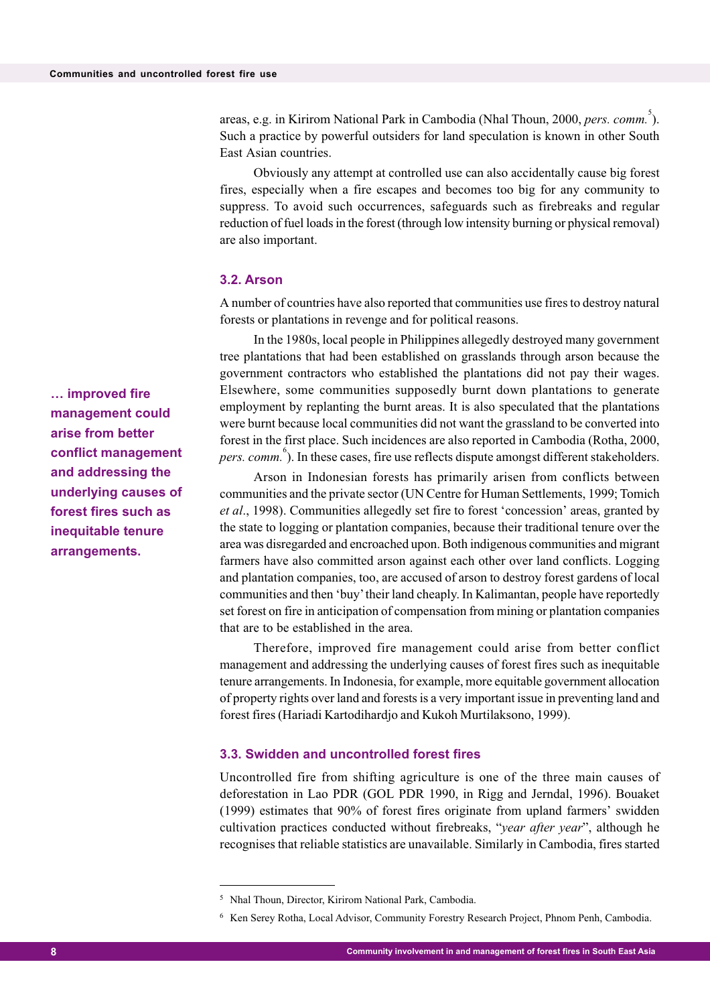areas, e.g. in Kirirom National Park in Cambodia (Nhal Thoun, 2000, *pers. comm.*<sup>5</sup>). Such a practice by powerful outsiders for land speculation is known in other South East Asian countries.

Obviously any attempt at controlled use can also accidentally cause big forest fires, especially when a fire escapes and becomes too big for any community to suppress. To avoid such occurrences, safeguards such as firebreaks and regular reduction of fuel loads in the forest (through low intensity burning or physical removal) are also important.

#### **3.2. Arson**

A number of countries have also reported that communities use fires to destroy natural forests or plantations in revenge and for political reasons.

In the 1980s, local people in Philippines allegedly destroyed many government tree plantations that had been established on grasslands through arson because the government contractors who established the plantations did not pay their wages. Elsewhere, some communities supposedly burnt down plantations to generate employment by replanting the burnt areas. It is also speculated that the plantations were burnt because local communities did not want the grassland to be converted into forest in the first place. Such incidences are also reported in Cambodia (Rotha, 2000, pers. comm.<sup>6</sup>). In these cases, fire use reflects dispute amongst different stakeholders.

Arson in Indonesian forests has primarily arisen from conflicts between communities and the private sector (UN Centre for Human Settlements, 1999; Tomich *et al*., 1998). Communities allegedly set fire to forest 'concession' areas, granted by the state to logging or plantation companies, because their traditional tenure over the area was disregarded and encroached upon. Both indigenous communities and migrant farmers have also committed arson against each other over land conflicts. Logging and plantation companies, too, are accused of arson to destroy forest gardens of local communities and then 'buy' their land cheaply. In Kalimantan, people have reportedly set forest on fire in anticipation of compensation from mining or plantation companies that are to be established in the area.

Therefore, improved fire management could arise from better conflict management and addressing the underlying causes of forest fires such as inequitable tenure arrangements. In Indonesia, for example, more equitable government allocation of property rights over land and forests is a very important issue in preventing land and forest fires (Hariadi Kartodihardjo and Kukoh Murtilaksono, 1999).

#### **3.3. Swidden and uncontrolled forest fires**

Uncontrolled fire from shifting agriculture is one of the three main causes of deforestation in Lao PDR (GOL PDR 1990, in Rigg and Jerndal, 1996). Bouaket (1999) estimates that 90% of forest fires originate from upland farmers' swidden cultivation practices conducted without firebreaks, "*year after year*", although he recognises that reliable statistics are unavailable. Similarly in Cambodia, fires started

**management could arise from better conflict management and addressing the underlying causes of forest fires such as inequitable tenure arrangements.**

**… improved fire**

<sup>5</sup> Nhal Thoun, Director, Kirirom National Park, Cambodia.

<sup>6</sup> Ken Serey Rotha, Local Advisor, Community Forestry Research Project, Phnom Penh, Cambodia.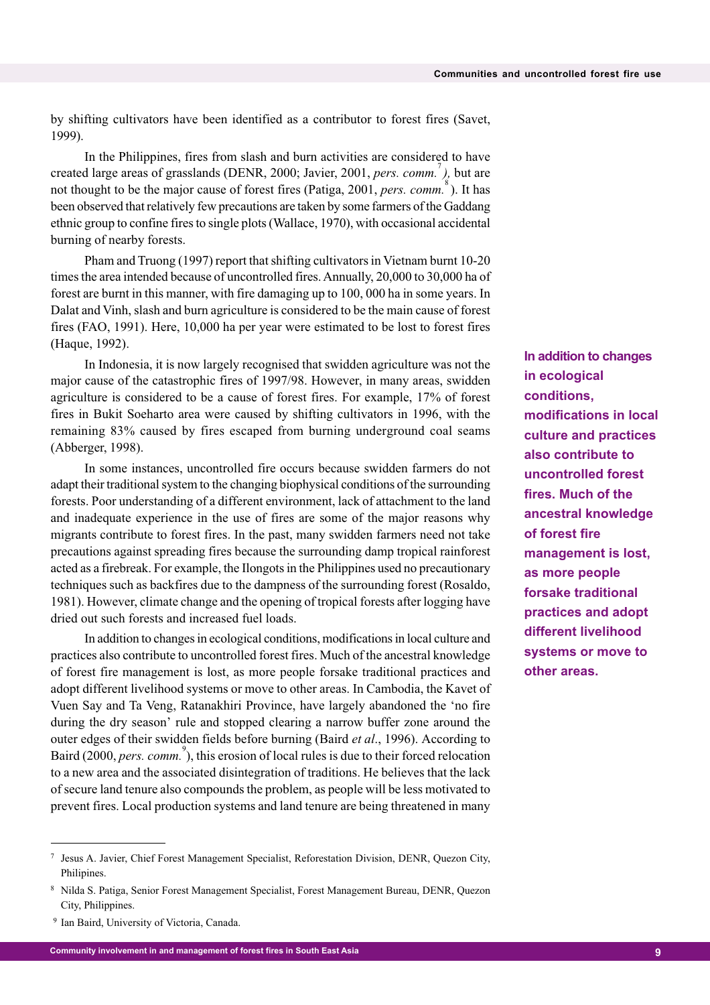by shifting cultivators have been identified as a contributor to forest fires (Savet, 1999).

In the Philippines, fires from slash and burn activities are considered to have created large areas of grasslands (DENR, 2000; Javier, 2001, *pers. comm.*<sup>7</sup>), but are not thought to be the major cause of forest fires (Patiga, 2001, *pers. comm.*<sup>8</sup>). It has been observed that relatively few precautions are taken by some farmers of the Gaddang ethnic group to confine fires to single plots (Wallace, 1970), with occasional accidental burning of nearby forests.

Pham and Truong (1997) report that shifting cultivators in Vietnam burnt 10-20 times the area intended because of uncontrolled fires. Annually, 20,000 to 30,000 ha of forest are burnt in this manner, with fire damaging up to 100, 000 ha in some years. In Dalat and Vinh, slash and burn agriculture is considered to be the main cause of forest fires (FAO, 1991). Here, 10,000 ha per year were estimated to be lost to forest fires (Haque, 1992).

In Indonesia, it is now largely recognised that swidden agriculture was not the major cause of the catastrophic fires of 1997/98. However, in many areas, swidden agriculture is considered to be a cause of forest fires. For example, 17% of forest fires in Bukit Soeharto area were caused by shifting cultivators in 1996, with the remaining 83% caused by fires escaped from burning underground coal seams (Abberger, 1998).

In some instances, uncontrolled fire occurs because swidden farmers do not adapt their traditional system to the changing biophysical conditions of the surrounding forests. Poor understanding of a different environment, lack of attachment to the land and inadequate experience in the use of fires are some of the major reasons why migrants contribute to forest fires. In the past, many swidden farmers need not take precautions against spreading fires because the surrounding damp tropical rainforest acted as a firebreak. For example, the Ilongots in the Philippines used no precautionary techniques such as backfires due to the dampness of the surrounding forest (Rosaldo, 1981). However, climate change and the opening of tropical forests after logging have dried out such forests and increased fuel loads.

In addition to changes in ecological conditions, modifications in local culture and practices also contribute to uncontrolled forest fires. Much of the ancestral knowledge of forest fire management is lost, as more people forsake traditional practices and adopt different livelihood systems or move to other areas. In Cambodia, the Kavet of Vuen Say and Ta Veng, Ratanakhiri Province, have largely abandoned the 'no fire during the dry season' rule and stopped clearing a narrow buffer zone around the outer edges of their swidden fields before burning (Baird *et al*., 1996). According to Baird (2000, *pers. comm.*<sup>9</sup>), this erosion of local rules is due to their forced relocation to a new area and the associated disintegration of traditions. He believes that the lack of secure land tenure also compounds the problem, as people will be less motivated to prevent fires. Local production systems and land tenure are being threatened in many **In addition to changes in ecological conditions, modifications in local culture and practices also contribute to uncontrolled forest fires. Much of the ancestral knowledge of forest fire management is lost, as more people forsake traditional practices and adopt different livelihood systems or move to other areas.**

<sup>7</sup> Jesus A. Javier, Chief Forest Management Specialist, Reforestation Division, DENR, Quezon City, Philipines.

<sup>8</sup> Nilda S. Patiga, Senior Forest Management Specialist, Forest Management Bureau, DENR, Quezon City, Philippines.

<sup>&</sup>lt;sup>9</sup> Ian Baird, University of Victoria, Canada.

**<sup>9</sup> Community involvement in and management of forest fires in South East Asia**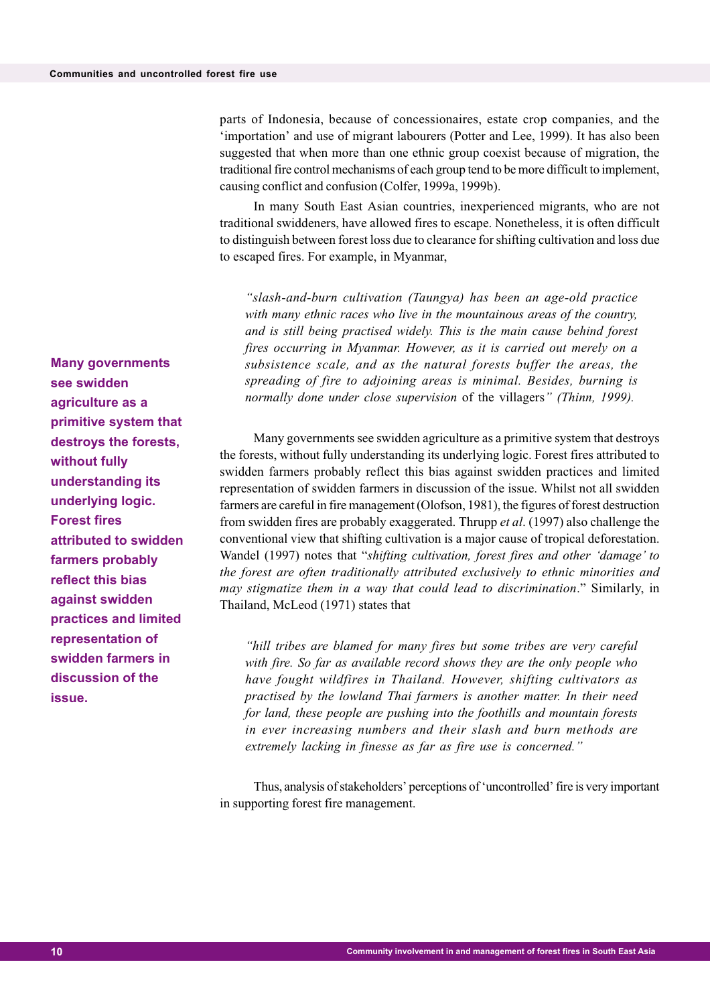parts of Indonesia, because of concessionaires, estate crop companies, and the 'importation' and use of migrant labourers (Potter and Lee, 1999). It has also been suggested that when more than one ethnic group coexist because of migration, the traditional fire control mechanisms of each group tend to be more difficult to implement, causing conflict and confusion (Colfer, 1999a, 1999b).

In many South East Asian countries, inexperienced migrants, who are not traditional swiddeners, have allowed fires to escape. Nonetheless, it is often difficult to distinguish between forest loss due to clearance for shifting cultivation and loss due to escaped fires. For example, in Myanmar,

*"slash-and-burn cultivation (Taungya) has been an age-old practice with many ethnic races who live in the mountainous areas of the country, and is still being practised widely. This is the main cause behind forest fires occurring in Myanmar. However, as it is carried out merely on a subsistence scale, and as the natural forests buffer the areas, the spreading of fire to adjoining areas is minimal. Besides, burning is normally done under close supervision* of the villagers*" (Thinn, 1999).*

Many governments see swidden agriculture as a primitive system that destroys the forests, without fully understanding its underlying logic. Forest fires attributed to swidden farmers probably reflect this bias against swidden practices and limited representation of swidden farmers in discussion of the issue. Whilst not all swidden farmers are careful in fire management (Olofson, 1981), the figures of forest destruction from swidden fires are probably exaggerated. Thrupp *et al*. (1997) also challenge the conventional view that shifting cultivation is a major cause of tropical deforestation. Wandel (1997) notes that "*shifting cultivation, forest fires and other 'damage' to the forest are often traditionally attributed exclusively to ethnic minorities and may stigmatize them in a way that could lead to discrimination*." Similarly, in Thailand, McLeod (1971) states that

*"hill tribes are blamed for many fires but some tribes are very careful with fire. So far as available record shows they are the only people who have fought wildfires in Thailand. However, shifting cultivators as practised by the lowland Thai farmers is another matter. In their need for land, these people are pushing into the foothills and mountain forests in ever increasing numbers and their slash and burn methods are extremely lacking in finesse as far as fire use is concerned."*

Thus, analysis of stakeholders' perceptions of 'uncontrolled' fire is very important in supporting forest fire management.

**Many governments see swidden agriculture as a primitive system that destroys the forests, without fully understanding its underlying logic. Forest fires attributed to swidden farmers probably reflect this bias against swidden practices and limited representation of swidden farmers in discussion of the issue.**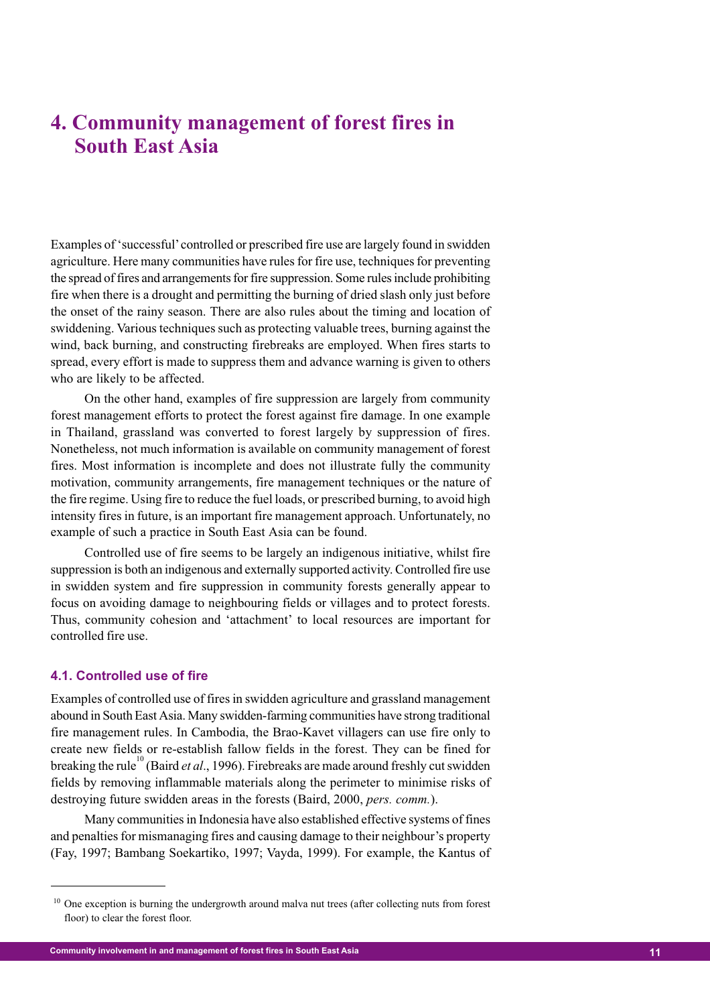# **4. Community management of forest fires in South East Asia**

Examples of 'successful' controlled or prescribed fire use are largely found in swidden agriculture. Here many communities have rules for fire use, techniques for preventing the spread of fires and arrangements for fire suppression. Some rules include prohibiting fire when there is a drought and permitting the burning of dried slash only just before the onset of the rainy season. There are also rules about the timing and location of swiddening. Various techniques such as protecting valuable trees, burning against the wind, back burning, and constructing firebreaks are employed. When fires starts to spread, every effort is made to suppress them and advance warning is given to others who are likely to be affected.

On the other hand, examples of fire suppression are largely from community forest management efforts to protect the forest against fire damage. In one example in Thailand, grassland was converted to forest largely by suppression of fires. Nonetheless, not much information is available on community management of forest fires. Most information is incomplete and does not illustrate fully the community motivation, community arrangements, fire management techniques or the nature of the fire regime. Using fire to reduce the fuel loads, or prescribed burning, to avoid high intensity fires in future, is an important fire management approach. Unfortunately, no example of such a practice in South East Asia can be found.

Controlled use of fire seems to be largely an indigenous initiative, whilst fire suppression is both an indigenous and externally supported activity. Controlled fire use in swidden system and fire suppression in community forests generally appear to focus on avoiding damage to neighbouring fields or villages and to protect forests. Thus, community cohesion and 'attachment' to local resources are important for controlled fire use.

#### **4.1. Controlled use of fire**

Examples of controlled use of fires in swidden agriculture and grassland management abound in South East Asia. Many swidden-farming communities have strong traditional fire management rules. In Cambodia, the Brao-Kavet villagers can use fire only to create new fields or re-establish fallow fields in the forest. They can be fined for breaking the rule<sup>10</sup> (Baird *et al.*, 1996). Firebreaks are made around freshly cut swidden fields by removing inflammable materials along the perimeter to minimise risks of destroying future swidden areas in the forests (Baird, 2000, *pers. comm.*).

Many communities in Indonesia have also established effective systems of fines and penalties for mismanaging fires and causing damage to their neighbour's property (Fay, 1997; Bambang Soekartiko, 1997; Vayda, 1999). For example, the Kantus of

<sup>&</sup>lt;sup>10</sup> One exception is burning the undergrowth around malva nut trees (after collecting nuts from forest floor) to clear the forest floor.

**<sup>11</sup> Community involvement in and management of forest fires in South East Asia**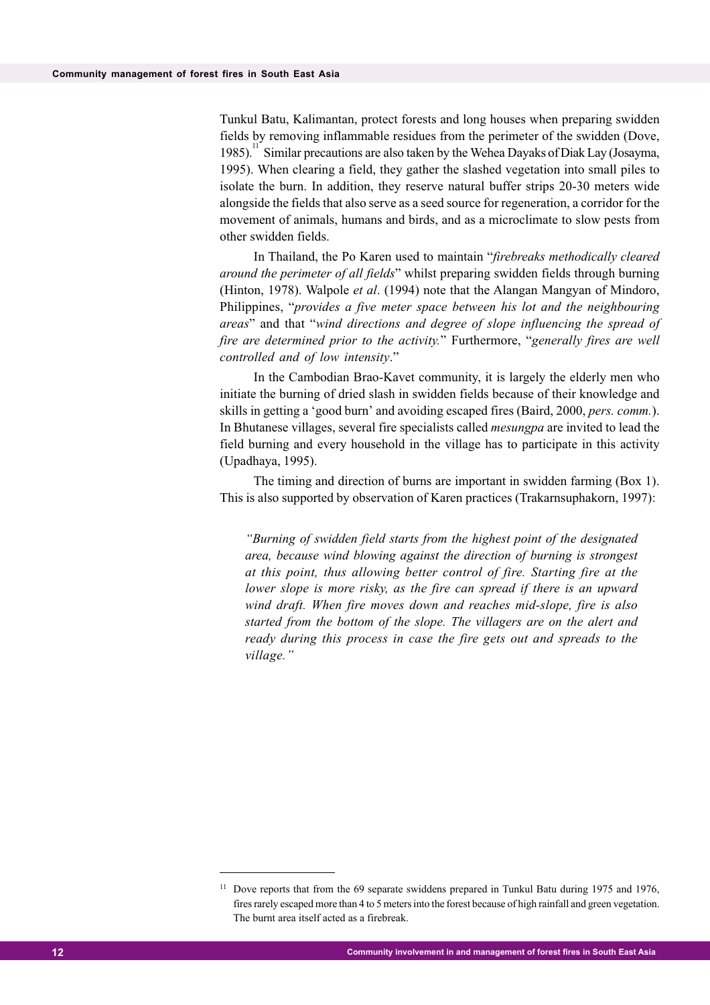Tunkul Batu, Kalimantan, protect forests and long houses when preparing swidden fields by removing inflammable residues from the perimeter of the swidden (Dove, 1985).<sup>11</sup> Similar precautions are also taken by the Wehea Dayaks of Diak Lay (Josayma, 1995). When clearing a field, they gather the slashed vegetation into small piles to isolate the burn. In addition, they reserve natural buffer strips 20-30 meters wide alongside the fields that also serve as a seed source for regeneration, a corridor for the movement of animals, humans and birds, and as a microclimate to slow pests from other swidden fields.

In Thailand, the Po Karen used to maintain "*firebreaks methodically cleared around the perimeter of all fields*" whilst preparing swidden fields through burning (Hinton, 1978). Walpole *et al*. (1994) note that the Alangan Mangyan of Mindoro, Philippines, "*provides a five meter space between his lot and the neighbouring areas*" and that "*wind directions and degree of slope influencing the spread of fire are determined prior to the activity.*" Furthermore, "*generally fires are well controlled and of low intensity*."

In the Cambodian Brao-Kavet community, it is largely the elderly men who initiate the burning of dried slash in swidden fields because of their knowledge and skills in getting a 'good burn' and avoiding escaped fires (Baird, 2000, *pers. comm.*). In Bhutanese villages, several fire specialists called *mesungpa* are invited to lead the field burning and every household in the village has to participate in this activity (Upadhaya, 1995).

The timing and direction of burns are important in swidden farming (Box 1). This is also supported by observation of Karen practices (Trakarnsuphakorn, 1997):

*"Burning of swidden field starts from the highest point of the designated area, because wind blowing against the direction of burning is strongest at this point, thus allowing better control of fire. Starting fire at the lower slope is more risky, as the fire can spread if there is an upward wind draft. When fire moves down and reaches mid-slope, fire is also started from the bottom of the slope. The villagers are on the alert and ready during this process in case the fire gets out and spreads to the village."*

<sup>&</sup>lt;sup>11</sup> Dove reports that from the 69 separate swiddens prepared in Tunkul Batu during 1975 and 1976, fires rarely escaped more than 4 to 5 meters into the forest because of high rainfall and green vegetation. The burnt area itself acted as a firebreak.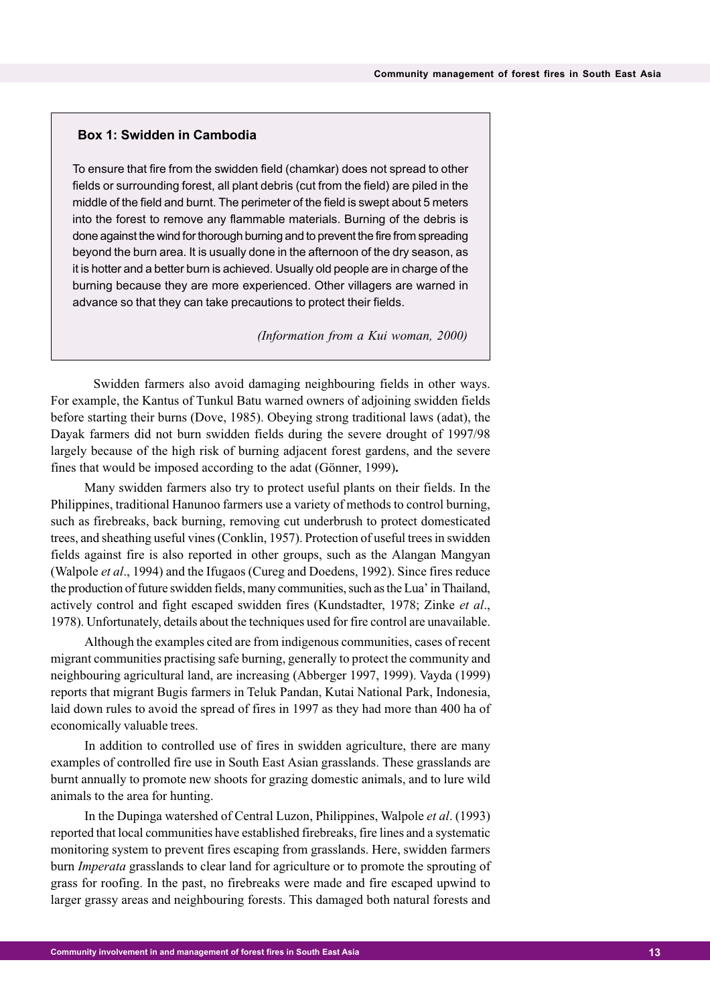#### **Box 1: Swidden in Cambodia**

To ensure that fire from the swidden field (chamkar) does not spread to other fields or surrounding forest, all plant debris (cut from the field) are piled in the middle of the field and burnt. The perimeter of the field is swept about 5 meters into the forest to remove any flammable materials. Burning of the debris is done against the wind for thorough burning and to prevent the fire from spreading beyond the burn area. It is usually done in the afternoon of the dry season, as it is hotter and a better burn is achieved. Usually old people are in charge of the burning because they are more experienced. Other villagers are warned in advance so that they can take precautions to protect their fields.

 *(Information from a Kui woman, 2000)*

Swidden farmers also avoid damaging neighbouring fields in other ways. For example, the Kantus of Tunkul Batu warned owners of adjoining swidden fields before starting their burns (Dove, 1985). Obeying strong traditional laws (adat), the Dayak farmers did not burn swidden fields during the severe drought of 1997/98 largely because of the high risk of burning adjacent forest gardens, and the severe fines that would be imposed according to the adat (Gönner, 1999)**.**

Many swidden farmers also try to protect useful plants on their fields. In the Philippines, traditional Hanunoo farmers use a variety of methods to control burning, such as firebreaks, back burning, removing cut underbrush to protect domesticated trees, and sheathing useful vines (Conklin, 1957). Protection of useful trees in swidden fields against fire is also reported in other groups, such as the Alangan Mangyan (Walpole *et al*., 1994) and the Ifugaos (Cureg and Doedens, 1992). Since fires reduce the production of future swidden fields, many communities, such as the Lua' in Thailand, actively control and fight escaped swidden fires (Kundstadter, 1978; Zinke *et al*., 1978). Unfortunately, details about the techniques used for fire control are unavailable.

Although the examples cited are from indigenous communities, cases of recent migrant communities practising safe burning, generally to protect the community and neighbouring agricultural land, are increasing (Abberger 1997, 1999). Vayda (1999) reports that migrant Bugis farmers in Teluk Pandan, Kutai National Park, Indonesia, laid down rules to avoid the spread of fires in 1997 as they had more than 400 ha of economically valuable trees.

In addition to controlled use of fires in swidden agriculture, there are many examples of controlled fire use in South East Asian grasslands. These grasslands are burnt annually to promote new shoots for grazing domestic animals, and to lure wild animals to the area for hunting.

In the Dupinga watershed of Central Luzon, Philippines, Walpole *et al*. (1993) reported that local communities have established firebreaks, fire lines and a systematic monitoring system to prevent fires escaping from grasslands. Here, swidden farmers burn *Imperata* grasslands to clear land for agriculture or to promote the sprouting of grass for roofing. In the past, no firebreaks were made and fire escaped upwind to larger grassy areas and neighbouring forests. This damaged both natural forests and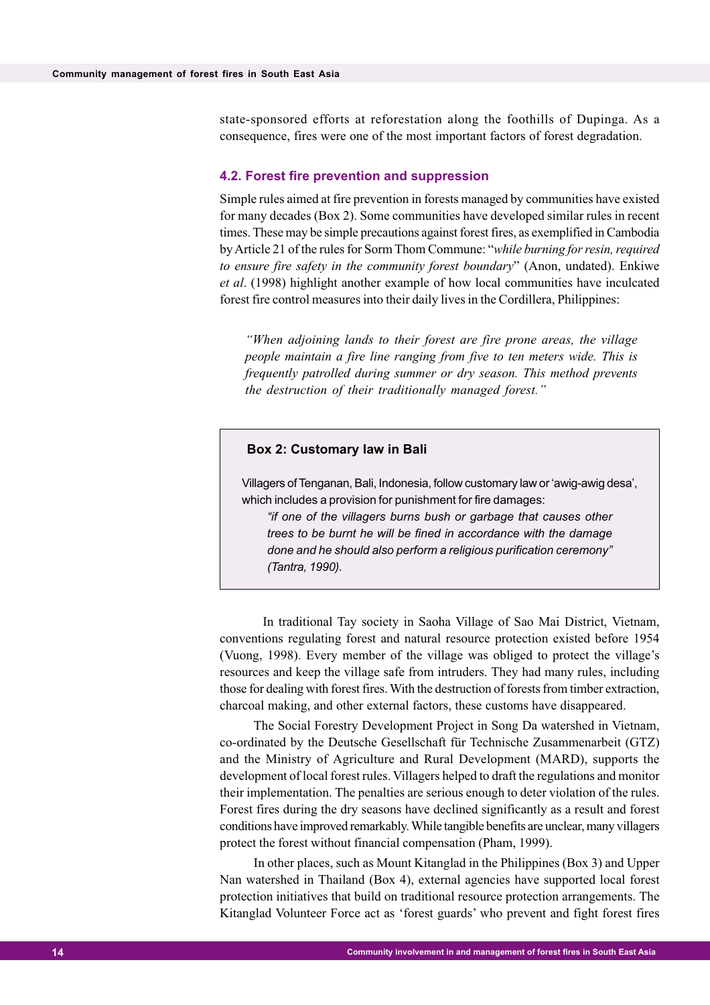state-sponsored efforts at reforestation along the foothills of Dupinga. As a consequence, fires were one of the most important factors of forest degradation.

#### **4.2. Forest fire prevention and suppression**

Simple rules aimed at fire prevention in forests managed by communities have existed for many decades (Box 2). Some communities have developed similar rules in recent times. These may be simple precautions against forest fires, as exemplified in Cambodia by Article 21 of the rules for Sorm Thom Commune: "*while burning for resin, required to ensure fire safety in the community forest boundary*" (Anon, undated). Enkiwe *et al*. (1998) highlight another example of how local communities have inculcated forest fire control measures into their daily lives in the Cordillera, Philippines:

*"When adjoining lands to their forest are fire prone areas, the village people maintain a fire line ranging from five to ten meters wide. This is frequently patrolled during summer or dry season. This method prevents the destruction of their traditionally managed forest."*

#### **Box 2: Customary law in Bali**

Villagers of Tenganan, Bali, Indonesia, follow customary law or 'awig-awig desa', which includes a provision for punishment for fire damages:

*"if one of the villagers burns bush or garbage that causes other trees to be burnt he will be fined in accordance with the damage done and he should also perform a religious purification ceremony" (Tantra, 1990).*

In traditional Tay society in Saoha Village of Sao Mai District, Vietnam, conventions regulating forest and natural resource protection existed before 1954 (Vuong, 1998). Every member of the village was obliged to protect the village's resources and keep the village safe from intruders. They had many rules, including those for dealing with forest fires. With the destruction of forests from timber extraction, charcoal making, and other external factors, these customs have disappeared.

The Social Forestry Development Project in Song Da watershed in Vietnam, co-ordinated by the Deutsche Gesellschaft für Technische Zusammenarbeit (GTZ) and the Ministry of Agriculture and Rural Development (MARD), supports the development of local forest rules. Villagers helped to draft the regulations and monitor their implementation. The penalties are serious enough to deter violation of the rules. Forest fires during the dry seasons have declined significantly as a result and forest conditions have improved remarkably. While tangible benefits are unclear, many villagers protect the forest without financial compensation (Pham, 1999).

In other places, such as Mount Kitanglad in the Philippines (Box 3) and Upper Nan watershed in Thailand (Box 4), external agencies have supported local forest protection initiatives that build on traditional resource protection arrangements. The Kitanglad Volunteer Force act as 'forest guards' who prevent and fight forest fires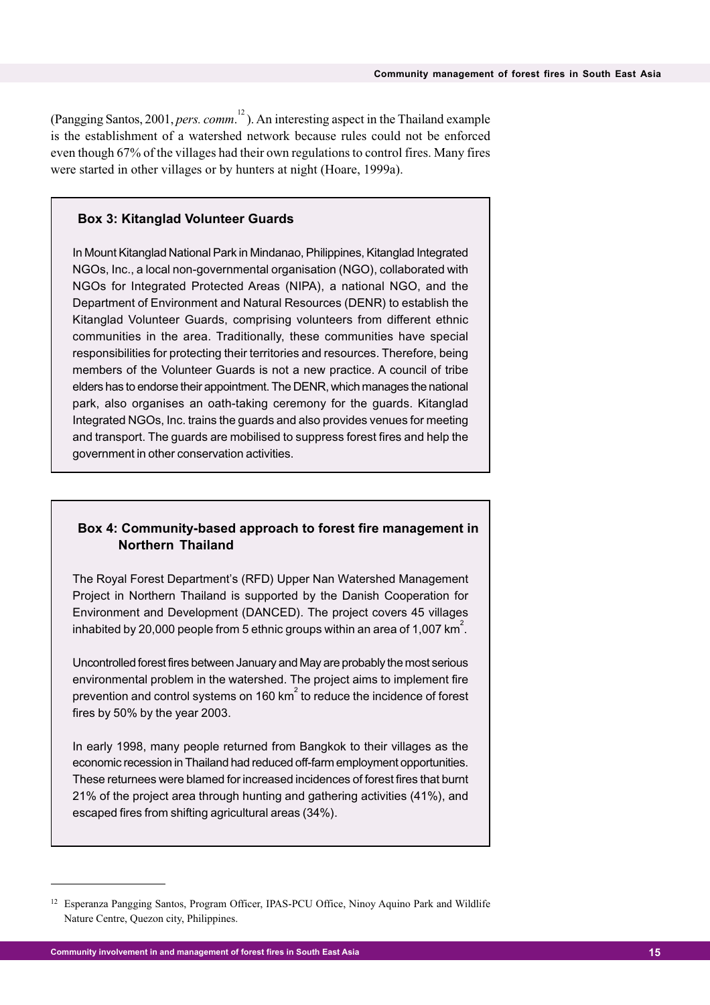(Pangging Santos, 2001, *pers. comm*. <sup>12</sup> ). An interesting aspect in the Thailand example is the establishment of a watershed network because rules could not be enforced even though 67% of the villages had their own regulations to control fires. Many fires were started in other villages or by hunters at night (Hoare, 1999a).

#### **Box 3: Kitanglad Volunteer Guards**

In Mount Kitanglad National Park in Mindanao, Philippines, Kitanglad Integrated NGOs, Inc., a local non-governmental organisation (NGO), collaborated with NGOs for Integrated Protected Areas (NIPA), a national NGO, and the Department of Environment and Natural Resources (DENR) to establish the Kitanglad Volunteer Guards, comprising volunteers from different ethnic communities in the area. Traditionally, these communities have special responsibilities for protecting their territories and resources. Therefore, being members of the Volunteer Guards is not a new practice. A council of tribe elders has to endorse their appointment. The DENR, which manages the national park, also organises an oath-taking ceremony for the guards. Kitanglad Integrated NGOs, Inc. trains the guards and also provides venues for meeting and transport. The guards are mobilised to suppress forest fires and help the government in other conservation activities.

#### **Box 4: Community-based approach to forest fire management in Northern Thailand**

The Royal Forest Department's (RFD) Upper Nan Watershed Management Project in Northern Thailand is supported by the Danish Cooperation for Environment and Development (DANCED). The project covers 45 villages inhabited by 20,000 people from 5 ethnic groups within an area of 1,007 km $^2\!$ .

Uncontrolled forest fires between January and May are probably the most serious environmental problem in the watershed. The project aims to implement fire prevention and control systems on 160 km $^{2}$  to reduce the incidence of forest fires by 50% by the year 2003.

In early 1998, many people returned from Bangkok to their villages as the economic recession in Thailand had reduced off-farm employment opportunities. These returnees were blamed for increased incidences of forest fires that burnt 21% of the project area through hunting and gathering activities (41%), and escaped fires from shifting agricultural areas (34%).

<sup>&</sup>lt;sup>12</sup> Esperanza Pangging Santos, Program Officer, IPAS-PCU Office, Ninoy Aquino Park and Wildlife Nature Centre, Quezon city, Philippines.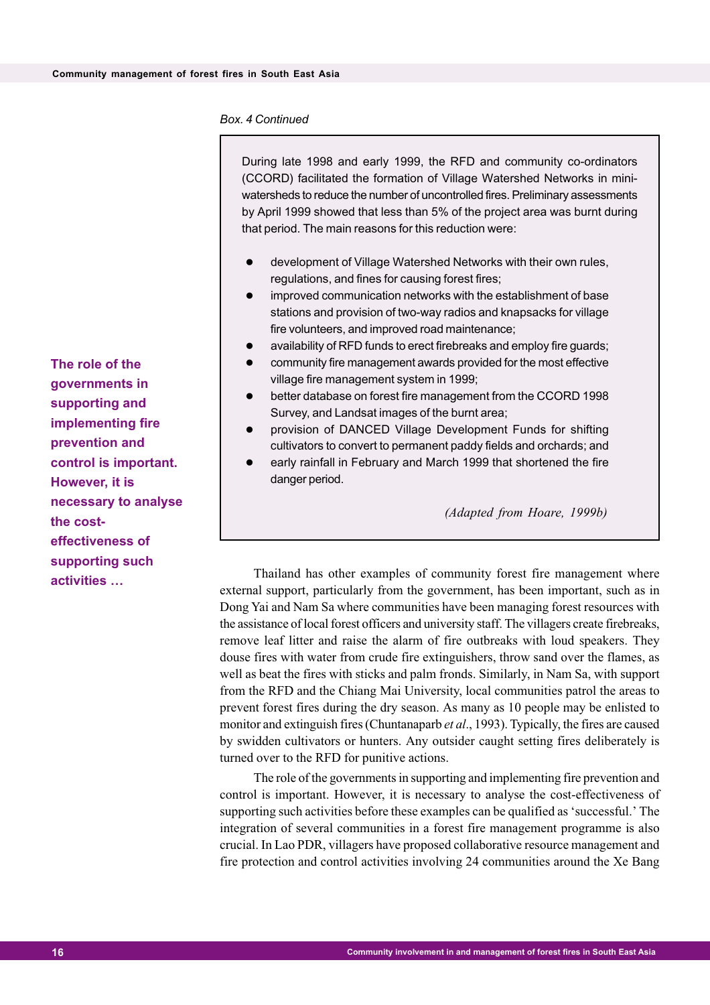#### *Box. 4 Continued*

During late 1998 and early 1999, the RFD and community co-ordinators (CCORD) facilitated the formation of Village Watershed Networks in miniwatersheds to reduce the number of uncontrolled fires. Preliminary assessments by April 1999 showed that less than 5% of the project area was burnt during that period. The main reasons for this reduction were:

- development of Village Watershed Networks with their own rules, regulations, and fines for causing forest fires;
- improved communication networks with the establishment of base stations and provision of two-way radios and knapsacks for village fire volunteers, and improved road maintenance;
- availability of RFD funds to erect firebreaks and employ fire guards;
- community fire management awards provided for the most effective village fire management system in 1999;
- better database on forest fire management from the CCORD 1998 Survey, and Landsat images of the burnt area;
- provision of DANCED Village Development Funds for shifting cultivators to convert to permanent paddy fields and orchards; and
- early rainfall in February and March 1999 that shortened the fire danger period.

 *(Adapted from Hoare, 1999b)*

**activities** ... Thailand has other examples of community forest fire management where external support, particularly from the government, has been important, such as in Dong Yai and Nam Sa where communities have been managing forest resources with the assistance of local forest officers and university staff. The villagers create firebreaks, remove leaf litter and raise the alarm of fire outbreaks with loud speakers. They douse fires with water from crude fire extinguishers, throw sand over the flames, as well as beat the fires with sticks and palm fronds. Similarly, in Nam Sa, with support from the RFD and the Chiang Mai University, local communities patrol the areas to prevent forest fires during the dry season. As many as 10 people may be enlisted to monitor and extinguish fires (Chuntanaparb *et al*., 1993). Typically, the fires are caused by swidden cultivators or hunters. Any outsider caught setting fires deliberately is turned over to the RFD for punitive actions.

> The role of the governments in supporting and implementing fire prevention and control is important. However, it is necessary to analyse the cost-effectiveness of supporting such activities before these examples can be qualified as 'successful.' The integration of several communities in a forest fire management programme is also crucial. In Lao PDR, villagers have proposed collaborative resource management and fire protection and control activities involving 24 communities around the Xe Bang

**The role of the governments in supporting and implementing fire prevention and control is important. However, it is necessary to analyse the costeffectiveness of supporting such**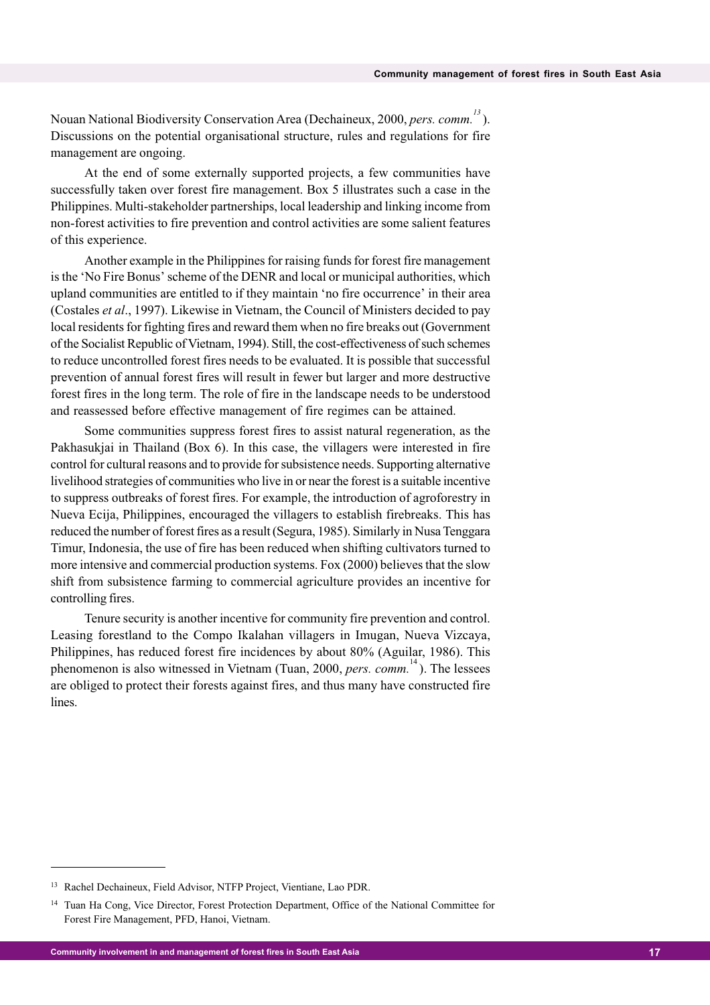Nouan National Biodiversity Conservation Area (Dechaineux, 2000, *pers. comm.<sup>13</sup>* ). Discussions on the potential organisational structure, rules and regulations for fire management are ongoing.

At the end of some externally supported projects, a few communities have successfully taken over forest fire management. Box 5 illustrates such a case in the Philippines. Multi-stakeholder partnerships, local leadership and linking income from non-forest activities to fire prevention and control activities are some salient features of this experience.

Another example in the Philippines for raising funds for forest fire management is the 'No Fire Bonus' scheme of the DENR and local or municipal authorities, which upland communities are entitled to if they maintain 'no fire occurrence' in their area (Costales *et al*., 1997). Likewise in Vietnam, the Council of Ministers decided to pay local residents for fighting fires and reward them when no fire breaks out (Government of the Socialist Republic of Vietnam, 1994). Still, the cost-effectiveness of such schemes to reduce uncontrolled forest fires needs to be evaluated. It is possible that successful prevention of annual forest fires will result in fewer but larger and more destructive forest fires in the long term. The role of fire in the landscape needs to be understood and reassessed before effective management of fire regimes can be attained.

Some communities suppress forest fires to assist natural regeneration, as the Pakhasukjai in Thailand (Box 6). In this case, the villagers were interested in fire control for cultural reasons and to provide for subsistence needs. Supporting alternative livelihood strategies of communities who live in or near the forest is a suitable incentive to suppress outbreaks of forest fires. For example, the introduction of agroforestry in Nueva Ecija, Philippines, encouraged the villagers to establish firebreaks. This has reduced the number of forest fires as a result (Segura, 1985). Similarly in Nusa Tenggara Timur, Indonesia, the use of fire has been reduced when shifting cultivators turned to more intensive and commercial production systems. Fox (2000) believes that the slow shift from subsistence farming to commercial agriculture provides an incentive for controlling fires.

Tenure security is another incentive for community fire prevention and control. Leasing forestland to the Compo Ikalahan villagers in Imugan, Nueva Vizcaya, Philippines, has reduced forest fire incidences by about 80% (Aguilar, 1986). This phenomenon is also witnessed in Vietnam (Tuan, 2000, *pers. comm.*<sup>14</sup>). The lessees are obliged to protect their forests against fires, and thus many have constructed fire lines.

<sup>13</sup> Rachel Dechaineux, Field Advisor, NTFP Project, Vientiane, Lao PDR.

<sup>&</sup>lt;sup>14</sup> Tuan Ha Cong, Vice Director, Forest Protection Department, Office of the National Committee for Forest Fire Management, PFD, Hanoi, Vietnam.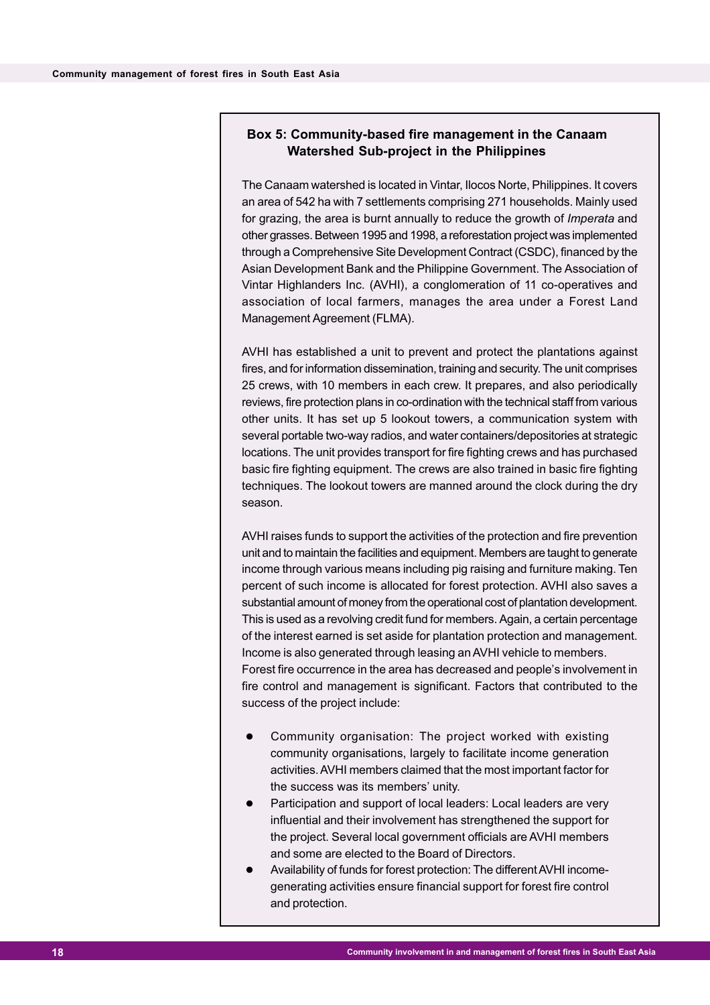#### **Box 5: Community-based fire management in the Canaam Watershed Sub-project in the Philippines**

The Canaam watershed is located in Vintar, Ilocos Norte, Philippines. It covers an area of 542 ha with 7 settlements comprising 271 households. Mainly used for grazing, the area is burnt annually to reduce the growth of *Imperata* and other grasses. Between 1995 and 1998, a reforestation project was implemented through a Comprehensive Site Development Contract (CSDC), financed by the Asian Development Bank and the Philippine Government. The Association of Vintar Highlanders Inc. (AVHI), a conglomeration of 11 co-operatives and association of local farmers, manages the area under a Forest Land Management Agreement (FLMA).

AVHI has established a unit to prevent and protect the plantations against fires, and for information dissemination, training and security. The unit comprises 25 crews, with 10 members in each crew. It prepares, and also periodically reviews, fire protection plans in co-ordination with the technical staff from various other units. It has set up 5 lookout towers, a communication system with several portable two-way radios, and water containers/depositories at strategic locations. The unit provides transport for fire fighting crews and has purchased basic fire fighting equipment. The crews are also trained in basic fire fighting techniques. The lookout towers are manned around the clock during the dry season.

AVHI raises funds to support the activities of the protection and fire prevention unit and to maintain the facilities and equipment. Members are taught to generate income through various means including pig raising and furniture making. Ten percent of such income is allocated for forest protection. AVHI also saves a substantial amount of money from the operational cost of plantation development. This is used as a revolving credit fund for members. Again, a certain percentage of the interest earned is set aside for plantation protection and management. Income is also generated through leasing an AVHI vehicle to members. Forest fire occurrence in the area has decreased and people's involvement in fire control and management is significant. Factors that contributed to the success of the project include:

- Community organisation: The project worked with existing community organisations, largely to facilitate income generation activities. AVHI members claimed that the most important factor for the success was its members' unity.
- Participation and support of local leaders: Local leaders are very influential and their involvement has strengthened the support for the project. Several local government officials are AVHI members and some are elected to the Board of Directors.
- Availability of funds for forest protection: The different AVHI incomegenerating activities ensure financial support for forest fire control and protection.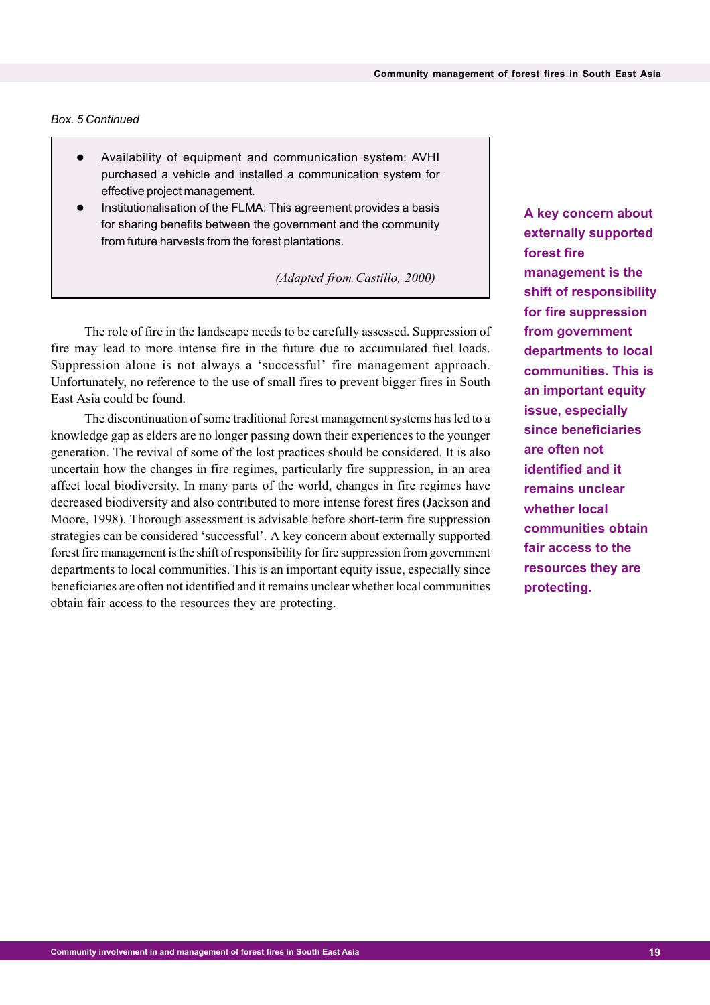#### *Box. 5 Continued*

- Availability of equipment and communication system: AVHI purchased a vehicle and installed a communication system for effective project management.
- Institutionalisation of the FLMA: This agreement provides a basis for sharing benefits between the government and the community from future harvests from the forest plantations.

 *(Adapted from Castillo, 2000)*

The role of fire in the landscape needs to be carefully assessed. Suppression of fire may lead to more intense fire in the future due to accumulated fuel loads. Suppression alone is not always a 'successful' fire management approach. Unfortunately, no reference to the use of small fires to prevent bigger fires in South East Asia could be found.

The discontinuation of some traditional forest management systems has led to a knowledge gap as elders are no longer passing down their experiences to the younger generation. The revival of some of the lost practices should be considered. It is also uncertain how the changes in fire regimes, particularly fire suppression, in an area affect local biodiversity. In many parts of the world, changes in fire regimes have decreased biodiversity and also contributed to more intense forest fires (Jackson and Moore, 1998). Thorough assessment is advisable before short-term fire suppression strategies can be considered 'successful'. A key concern about externally supported forest fire management is the shift of responsibility for fire suppression from government departments to local communities. This is an important equity issue, especially since beneficiaries are often not identified and it remains unclear whether local communities obtain fair access to the resources they are protecting.

**A key concern about externally supported forest fire management is the shift of responsibility for fire suppression from government departments to local communities. This is an important equity issue, especially since beneficiaries are often not identified and it remains unclear whether local communities obtain fair access to the resources they are protecting.**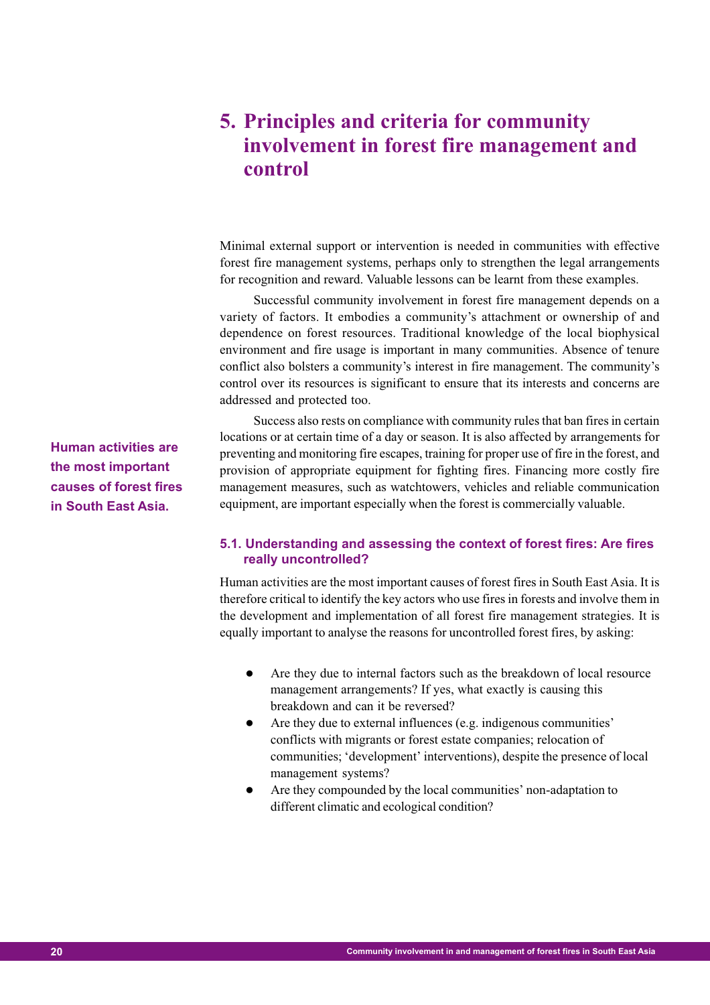# **5. Principles and criteria for community involvement in forest fire management and control**

Minimal external support or intervention is needed in communities with effective forest fire management systems, perhaps only to strengthen the legal arrangements for recognition and reward. Valuable lessons can be learnt from these examples.

Successful community involvement in forest fire management depends on a variety of factors. It embodies a community's attachment or ownership of and dependence on forest resources. Traditional knowledge of the local biophysical environment and fire usage is important in many communities. Absence of tenure conflict also bolsters a community's interest in fire management. The community's control over its resources is significant to ensure that its interests and concerns are addressed and protected too.

Success also rests on compliance with community rules that ban fires in certain locations or at certain time of a day or season. It is also affected by arrangements for preventing and monitoring fire escapes, training for proper use of fire in the forest, and provision of appropriate equipment for fighting fires. Financing more costly fire management measures, such as watchtowers, vehicles and reliable communication equipment, are important especially when the forest is commercially valuable.

#### **5.1. Understanding and assessing the context of forest fires: Are fires really uncontrolled?**

Human activities are the most important causes of forest fires in South East Asia. It is therefore critical to identify the key actors who use fires in forests and involve them in the development and implementation of all forest fire management strategies. It is equally important to analyse the reasons for uncontrolled forest fires, by asking:

- Are they due to internal factors such as the breakdown of local resource management arrangements? If yes, what exactly is causing this breakdown and can it be reversed?
- Are they due to external influences (e.g. indigenous communities' conflicts with migrants or forest estate companies; relocation of communities; 'development' interventions), despite the presence of local management systems?
- Are they compounded by the local communities' non-adaptation to different climatic and ecological condition?

**Human activities are the most important causes of forest fires in South East Asia.**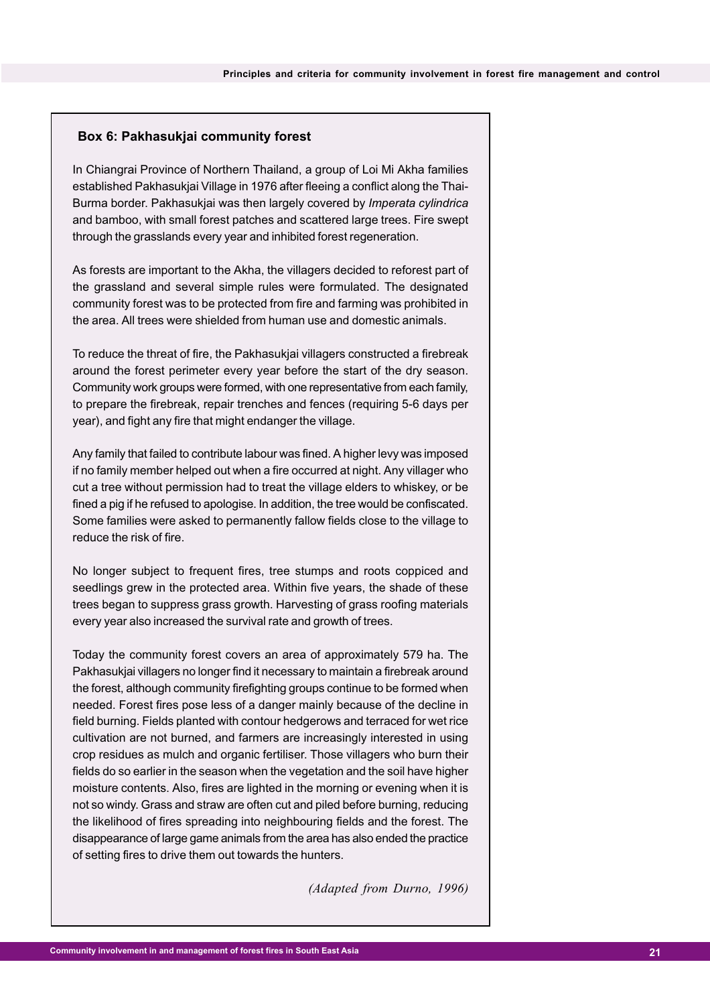#### **Box 6: Pakhasukjai community forest**

In Chiangrai Province of Northern Thailand, a group of Loi Mi Akha families established Pakhasukjai Village in 1976 after fleeing a conflict along the Thai-Burma border. Pakhasukjai was then largely covered by *Imperata cylindrica* and bamboo, with small forest patches and scattered large trees. Fire swept through the grasslands every year and inhibited forest regeneration.

As forests are important to the Akha, the villagers decided to reforest part of the grassland and several simple rules were formulated. The designated community forest was to be protected from fire and farming was prohibited in the area. All trees were shielded from human use and domestic animals.

To reduce the threat of fire, the Pakhasukjai villagers constructed a firebreak around the forest perimeter every year before the start of the dry season. Community work groups were formed, with one representative from each family, to prepare the firebreak, repair trenches and fences (requiring 5-6 days per year), and fight any fire that might endanger the village.

Any family that failed to contribute labour was fined. A higher levy was imposed if no family member helped out when a fire occurred at night. Any villager who cut a tree without permission had to treat the village elders to whiskey, or be fined a pig if he refused to apologise. In addition, the tree would be confiscated. Some families were asked to permanently fallow fields close to the village to reduce the risk of fire.

No longer subject to frequent fires, tree stumps and roots coppiced and seedlings grew in the protected area. Within five years, the shade of these trees began to suppress grass growth. Harvesting of grass roofing materials every year also increased the survival rate and growth of trees.

Today the community forest covers an area of approximately 579 ha. The Pakhasukjai villagers no longer find it necessary to maintain a firebreak around the forest, although community firefighting groups continue to be formed when needed. Forest fires pose less of a danger mainly because of the decline in field burning. Fields planted with contour hedgerows and terraced for wet rice cultivation are not burned, and farmers are increasingly interested in using crop residues as mulch and organic fertiliser. Those villagers who burn their fields do so earlier in the season when the vegetation and the soil have higher moisture contents. Also, fires are lighted in the morning or evening when it is not so windy. Grass and straw are often cut and piled before burning, reducing the likelihood of fires spreading into neighbouring fields and the forest. The disappearance of large game animals from the area has also ended the practice of setting fires to drive them out towards the hunters.

*(Adapted from Durno, 1996)*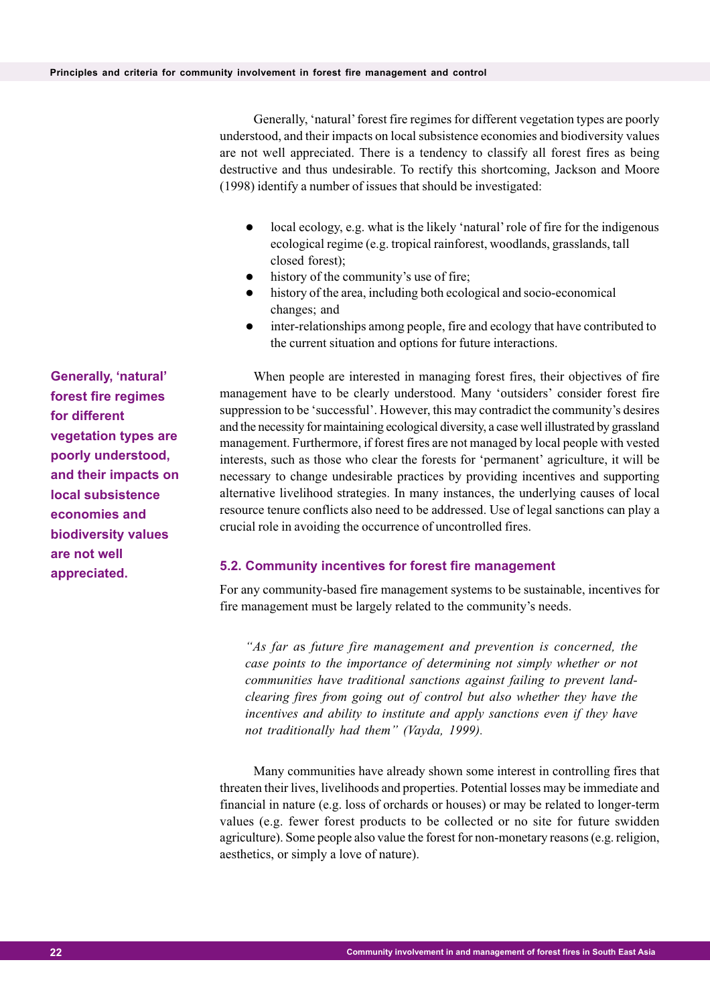Generally, 'natural' forest fire regimes for different vegetation types are poorly understood, and their impacts on local subsistence economies and biodiversity values are not well appreciated. There is a tendency to classify all forest fires as being destructive and thus undesirable. To rectify this shortcoming, Jackson and Moore (1998) identify a number of issues that should be investigated:

- local ecology, e.g. what is the likely 'natural' role of fire for the indigenous ecological regime (e.g. tropical rainforest, woodlands, grasslands, tall closed forest);
- history of the community's use of fire;
- history of the area, including both ecological and socio-economical changes; and
- inter-relationships among people, fire and ecology that have contributed to the current situation and options for future interactions.

When people are interested in managing forest fires, their objectives of fire management have to be clearly understood. Many 'outsiders' consider forest fire suppression to be 'successful'. However, this may contradict the community's desires and the necessity for maintaining ecological diversity, a case well illustrated by grassland management. Furthermore, if forest fires are not managed by local people with vested interests, such as those who clear the forests for 'permanent' agriculture, it will be necessary to change undesirable practices by providing incentives and supporting alternative livelihood strategies. In many instances, the underlying causes of local resource tenure conflicts also need to be addressed. Use of legal sanctions can play a crucial role in avoiding the occurrence of uncontrolled fires.

#### **5.2. Community incentives for forest fire management**

For any community-based fire management systems to be sustainable, incentives for fire management must be largely related to the community's needs.

*"As far a*s *future fire management and prevention is concerned, the case points to the importance of determining not simply whether or not communities have traditional sanctions against failing to prevent landclearing fires from going out of control but also whether they have the incentives and ability to institute and apply sanctions even if they have not traditionally had them" (Vayda, 1999).*

Many communities have already shown some interest in controlling fires that threaten their lives, livelihoods and properties. Potential losses may be immediate and financial in nature (e.g. loss of orchards or houses) or may be related to longer-term values (e.g. fewer forest products to be collected or no site for future swidden agriculture). Some people also value the forest for non-monetary reasons (e.g. religion, aesthetics, or simply a love of nature).

**Generally, 'natural' forest fire regimes for different vegetation types are poorly understood, and their impacts on local subsistence economies and biodiversity values are not well appreciated.**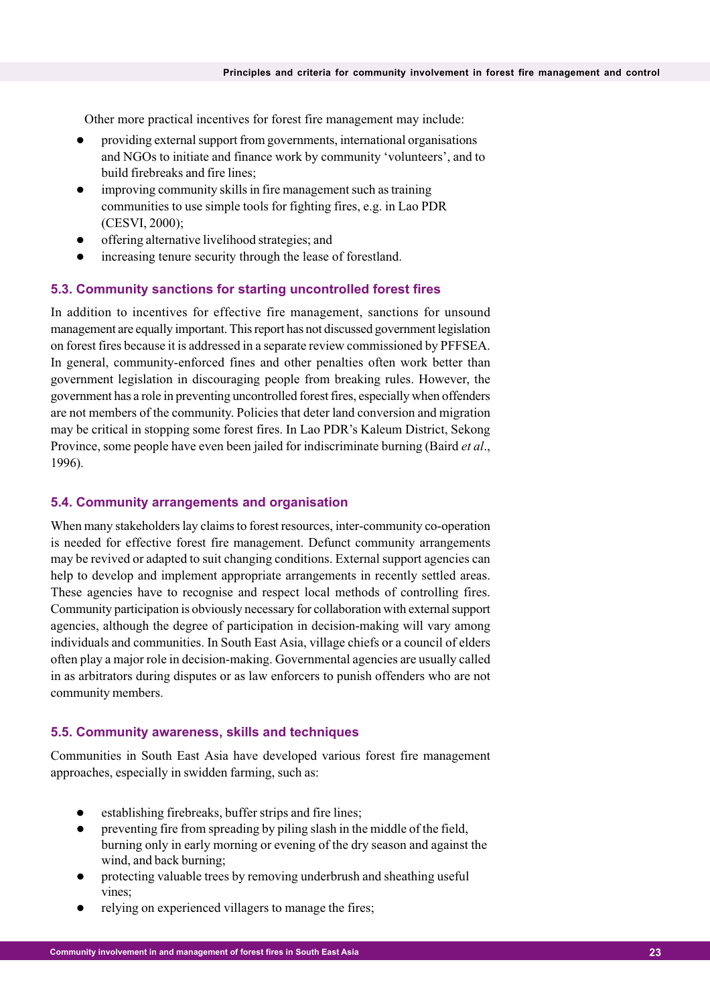Other more practical incentives for forest fire management may include:

- providing external support from governments, international organisations and NGOs to initiate and finance work by community 'volunteers', and to build firebreaks and fire lines;
- improving community skills in fire management such as training communities to use simple tools for fighting fires, e.g. in Lao PDR (CESVI, 2000);
- offering alternative livelihood strategies; and
- increasing tenure security through the lease of forestland.

#### **5.3. Community sanctions for starting uncontrolled forest fires**

In addition to incentives for effective fire management, sanctions for unsound management are equally important. This report has not discussed government legislation on forest fires because it is addressed in a separate review commissioned by PFFSEA. In general, community-enforced fines and other penalties often work better than government legislation in discouraging people from breaking rules. However, the government has a role in preventing uncontrolled forest fires, especially when offenders are not members of the community. Policies that deter land conversion and migration may be critical in stopping some forest fires. In Lao PDR's Kaleum District, Sekong Province, some people have even been jailed for indiscriminate burning (Baird *et al*., 1996).

#### **5.4. Community arrangements and organisation**

When many stakeholders lay claims to forest resources, inter-community co-operation is needed for effective forest fire management. Defunct community arrangements may be revived or adapted to suit changing conditions. External support agencies can help to develop and implement appropriate arrangements in recently settled areas. These agencies have to recognise and respect local methods of controlling fires. Community participation is obviously necessary for collaboration with external support agencies, although the degree of participation in decision-making will vary among individuals and communities. In South East Asia, village chiefs or a council of elders often play a major role in decision-making. Governmental agencies are usually called in as arbitrators during disputes or as law enforcers to punish offenders who are not community members.

#### **5.5. Community awareness, skills and techniques**

Communities in South East Asia have developed various forest fire management approaches, especially in swidden farming, such as:

- establishing firebreaks, buffer strips and fire lines;
- preventing fire from spreading by piling slash in the middle of the field, burning only in early morning or evening of the dry season and against the wind, and back burning;
- protecting valuable trees by removing underbrush and sheathing useful vines;
- relying on experienced villagers to manage the fires;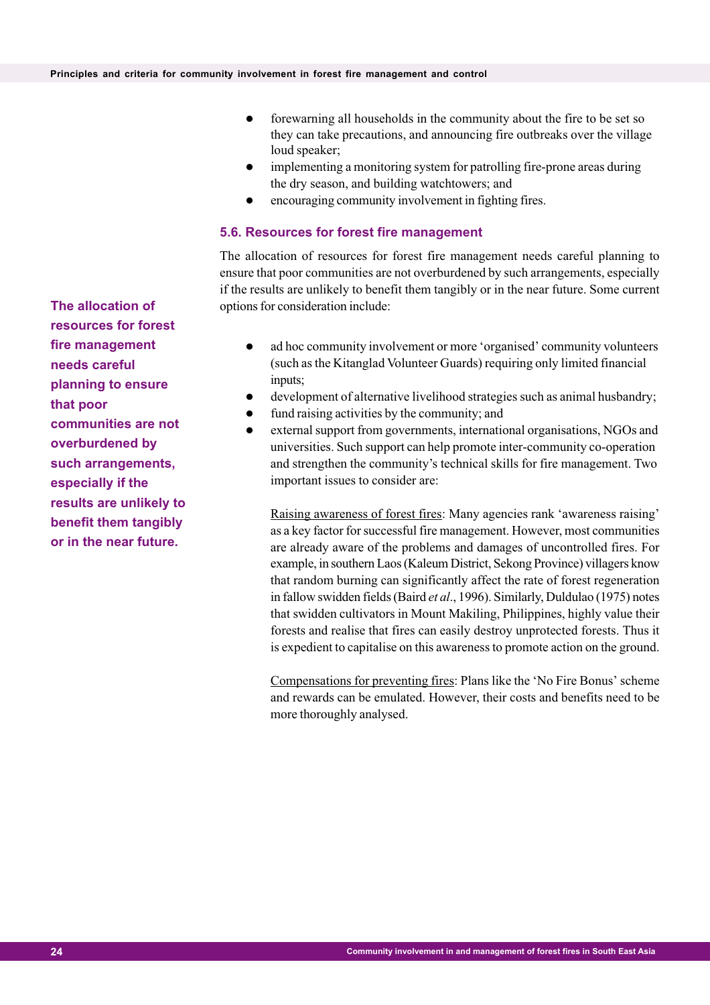- forewarning all households in the community about the fire to be set so they can take precautions, and announcing fire outbreaks over the village loud speaker;
- implementing a monitoring system for patrolling fire-prone areas during the dry season, and building watchtowers; and
- encouraging community involvement in fighting fires.

#### **5.6. Resources for forest fire management**

The allocation of resources for forest fire management needs careful planning to ensure that poor communities are not overburdened by such arrangements, especially if the results are unlikely to benefit them tangibly or in the near future. Some current options for consideration include:

- ad hoc community involvement or more 'organised' community volunteers (such as the Kitanglad Volunteer Guards) requiring only limited financial inputs;
- development of alternative livelihood strategies such as animal husbandry;
- fund raising activities by the community; and
- external support from governments, international organisations, NGOs and universities. Such support can help promote inter-community co-operation and strengthen the community's technical skills for fire management. Two important issues to consider are:

Raising awareness of forest fires: Many agencies rank 'awareness raising' as a key factor for successful fire management. However, most communities are already aware of the problems and damages of uncontrolled fires. For example, in southern Laos (Kaleum District, Sekong Province) villagers know that random burning can significantly affect the rate of forest regeneration in fallow swidden fields (Baird *et al*., 1996). Similarly, Duldulao (1975) notes that swidden cultivators in Mount Makiling, Philippines, highly value their forests and realise that fires can easily destroy unprotected forests. Thus it is expedient to capitalise on this awareness to promote action on the ground.

Compensations for preventing fires: Plans like the 'No Fire Bonus' scheme and rewards can be emulated. However, their costs and benefits need to be more thoroughly analysed.

**The allocation of resources for forest fire management needs careful planning to ensure that poor communities are not overburdened by such arrangements, especially if the results are unlikely to benefit them tangibly or in the near future.**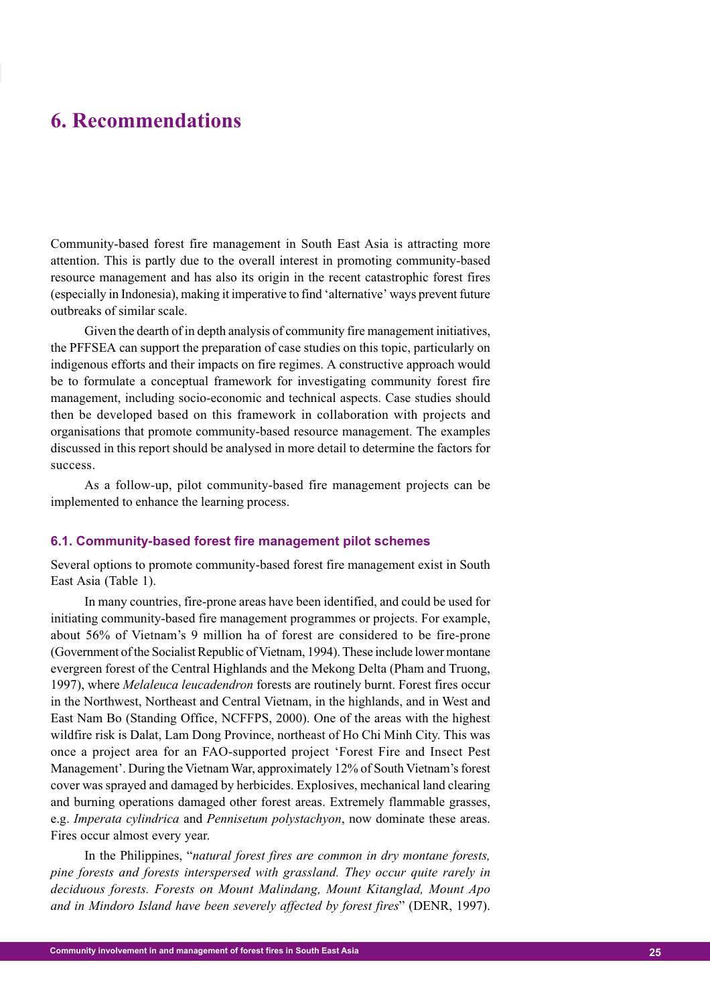### **6. Recommendations**

Community-based forest fire management in South East Asia is attracting more attention. This is partly due to the overall interest in promoting community-based resource management and has also its origin in the recent catastrophic forest fires (especially in Indonesia), making it imperative to find 'alternative' ways prevent future outbreaks of similar scale.

Given the dearth of in depth analysis of community fire management initiatives, the PFFSEA can support the preparation of case studies on this topic, particularly on indigenous efforts and their impacts on fire regimes. A constructive approach would be to formulate a conceptual framework for investigating community forest fire management, including socio-economic and technical aspects. Case studies should then be developed based on this framework in collaboration with projects and organisations that promote community-based resource management. The examples discussed in this report should be analysed in more detail to determine the factors for success.

As a follow-up, pilot community-based fire management projects can be implemented to enhance the learning process.

#### **6.1. Community-based forest fire management pilot schemes**

Several options to promote community-based forest fire management exist in South East Asia (Table 1).

In many countries, fire-prone areas have been identified, and could be used for initiating community-based fire management programmes or projects. For example, about 56% of Vietnam's 9 million ha of forest are considered to be fire-prone (Government of the Socialist Republic of Vietnam, 1994). These include lower montane evergreen forest of the Central Highlands and the Mekong Delta (Pham and Truong, 1997), where *Melaleuca leucadendron* forests are routinely burnt. Forest fires occur in the Northwest, Northeast and Central Vietnam, in the highlands, and in West and East Nam Bo (Standing Office, NCFFPS, 2000). One of the areas with the highest wildfire risk is Dalat, Lam Dong Province, northeast of Ho Chi Minh City. This was once a project area for an FAO-supported project 'Forest Fire and Insect Pest Management'. During the Vietnam War, approximately 12% of South Vietnam's forest cover was sprayed and damaged by herbicides. Explosives, mechanical land clearing and burning operations damaged other forest areas. Extremely flammable grasses, e.g. *Imperata cylindrica* and *Pennisetum polystachyon*, now dominate these areas. Fires occur almost every year.

In the Philippines, "*natural forest fires are common in dry montane forests, pine forests and forests interspersed with grassland. They occur quite rarely in deciduous forests. Forests on Mount Malindang, Mount Kitanglad, Mount Apo and in Mindoro Island have been severely affected by forest fires*" (DENR, 1997).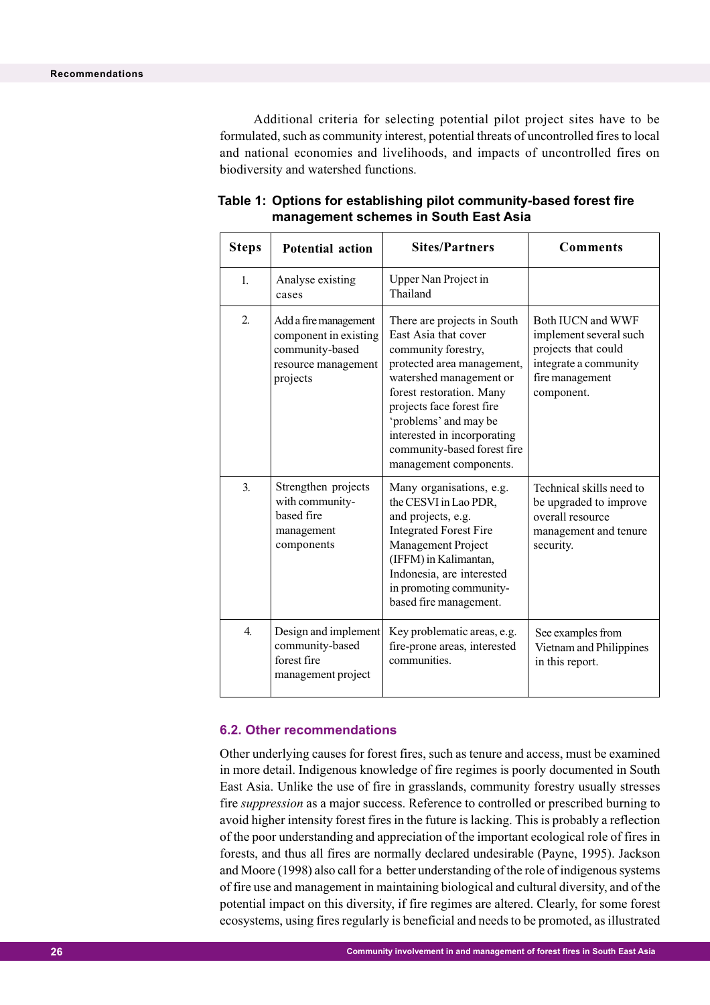Additional criteria for selecting potential pilot project sites have to be formulated, such as community interest, potential threats of uncontrolled fires to local and national economies and livelihoods, and impacts of uncontrolled fires on biodiversity and watershed functions.

| <b>Steps</b>     | <b>Potential action</b>                                                                              | <b>Sites/Partners</b>                                                                                                                                                                                                                                                                                         | <b>Comments</b>                                                                                                              |
|------------------|------------------------------------------------------------------------------------------------------|---------------------------------------------------------------------------------------------------------------------------------------------------------------------------------------------------------------------------------------------------------------------------------------------------------------|------------------------------------------------------------------------------------------------------------------------------|
| 1.               | Analyse existing<br>cases                                                                            | Upper Nan Project in<br>Thailand                                                                                                                                                                                                                                                                              |                                                                                                                              |
| $\overline{2}$ . | Add a fire management<br>component in existing<br>community-based<br>resource management<br>projects | There are projects in South<br>East Asia that cover<br>community forestry,<br>protected area management,<br>watershed management or<br>forest restoration. Many<br>projects face forest fire<br>'problems' and may be<br>interested in incorporating<br>community-based forest fire<br>management components. | Both IUCN and WWF<br>implement several such<br>projects that could<br>integrate a community<br>fire management<br>component. |
| 3.               | Strengthen projects<br>with community-<br>based fire<br>management<br>components                     | Many organisations, e.g.<br>the CESVI in Lao PDR,<br>and projects, e.g.<br><b>Integrated Forest Fire</b><br>Management Project<br>(IFFM) in Kalimantan,<br>Indonesia, are interested<br>in promoting community-<br>based fire management.                                                                     | Technical skills need to<br>be upgraded to improve<br>overall resource<br>management and tenure<br>security.                 |
| $\overline{4}$ . | Design and implement<br>community-based<br>forest fire<br>management project                         | Key problematic areas, e.g.<br>fire-prone areas, interested<br>communities.                                                                                                                                                                                                                                   | See examples from<br>Vietnam and Philippines<br>in this report.                                                              |

#### **Table 1: Options for establishing pilot community-based forest fire management schemes in South East Asia**

#### **6.2. Other recommendations**

Other underlying causes for forest fires, such as tenure and access, must be examined in more detail. Indigenous knowledge of fire regimes is poorly documented in South East Asia. Unlike the use of fire in grasslands, community forestry usually stresses fire *suppression* as a major success. Reference to controlled or prescribed burning to avoid higher intensity forest fires in the future is lacking. This is probably a reflection of the poor understanding and appreciation of the important ecological role of fires in forests, and thus all fires are normally declared undesirable (Payne, 1995). Jackson and Moore (1998) also call for a better understanding of the role of indigenous systems of fire use and management in maintaining biological and cultural diversity, and of the potential impact on this diversity, if fire regimes are altered. Clearly, for some forest ecosystems, using fires regularly is beneficial and needs to be promoted, as illustrated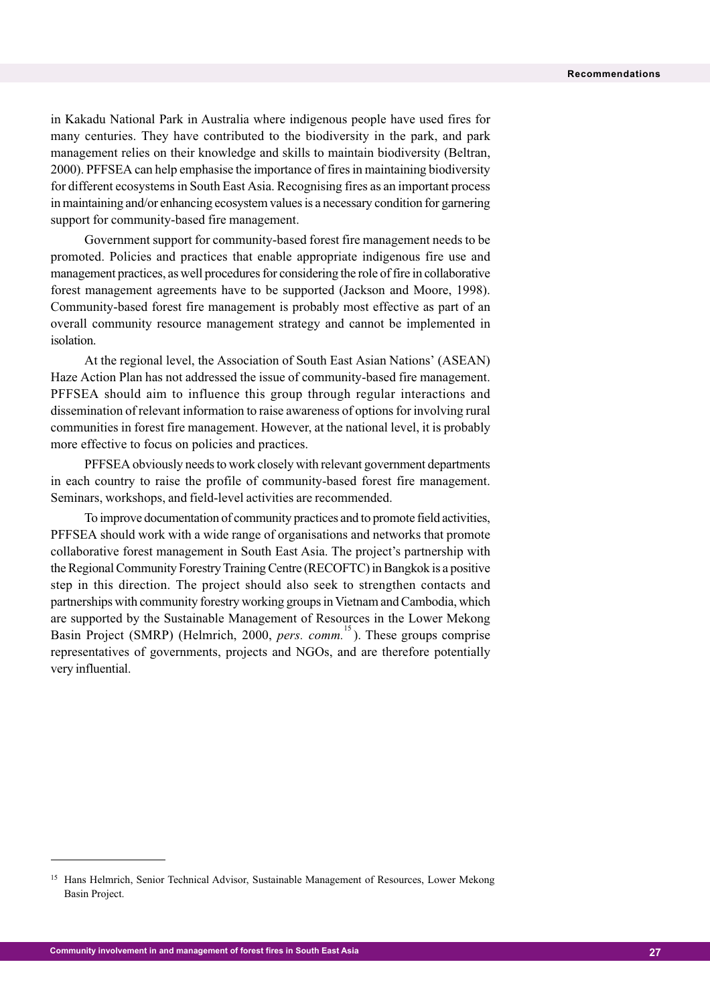in Kakadu National Park in Australia where indigenous people have used fires for many centuries. They have contributed to the biodiversity in the park, and park management relies on their knowledge and skills to maintain biodiversity (Beltran, 2000). PFFSEA can help emphasise the importance of fires in maintaining biodiversity for different ecosystems in South East Asia. Recognising fires as an important process in maintaining and/or enhancing ecosystem values is a necessary condition for garnering support for community-based fire management.

Government support for community-based forest fire management needs to be promoted. Policies and practices that enable appropriate indigenous fire use and management practices, as well procedures for considering the role of fire in collaborative forest management agreements have to be supported (Jackson and Moore, 1998). Community-based forest fire management is probably most effective as part of an overall community resource management strategy and cannot be implemented in isolation.

At the regional level, the Association of South East Asian Nations' (ASEAN) Haze Action Plan has not addressed the issue of community-based fire management. PFFSEA should aim to influence this group through regular interactions and dissemination of relevant information to raise awareness of options for involving rural communities in forest fire management. However, at the national level, it is probably more effective to focus on policies and practices.

PFFSEA obviously needs to work closely with relevant government departments in each country to raise the profile of community-based forest fire management. Seminars, workshops, and field-level activities are recommended.

To improve documentation of community practices and to promote field activities, PFFSEA should work with a wide range of organisations and networks that promote collaborative forest management in South East Asia. The project's partnership with the Regional Community Forestry Training Centre (RECOFTC) in Bangkok is a positive step in this direction. The project should also seek to strengthen contacts and partnerships with community forestry working groups in Vietnam and Cambodia, which are supported by the Sustainable Management of Resources in the Lower Mekong Basin Project (SMRP) (Helmrich, 2000, *pers. comm.*<sup>15</sup>). These groups comprise representatives of governments, projects and NGOs, and are therefore potentially very influential.

<sup>&</sup>lt;sup>15</sup> Hans Helmrich, Senior Technical Advisor, Sustainable Management of Resources, Lower Mekong Basin Project.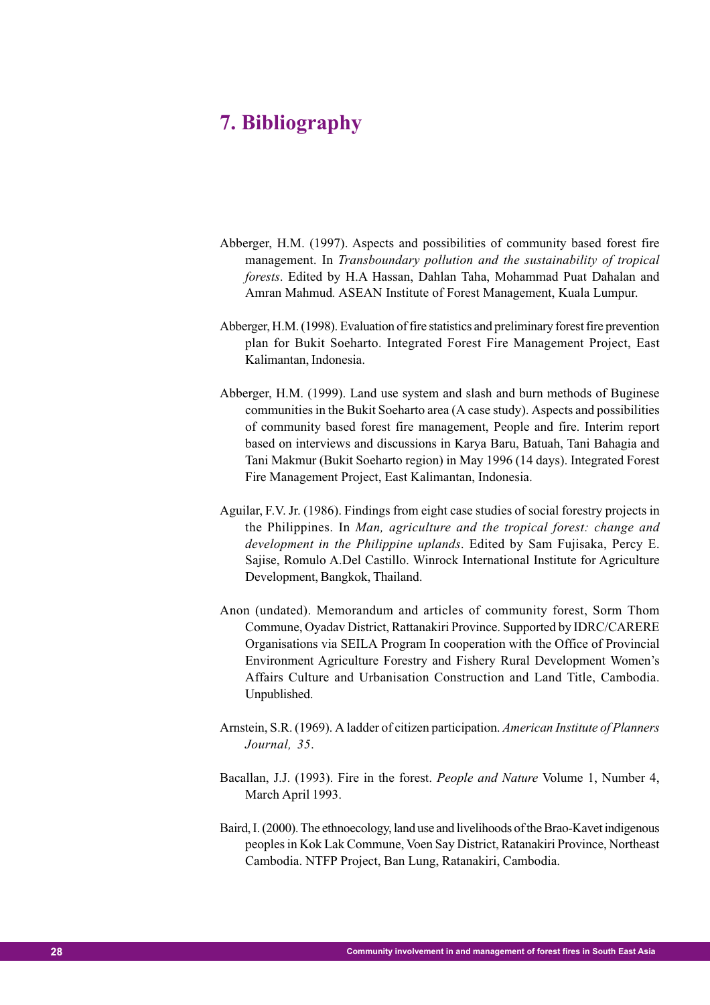# **7. Bibliography**

- Abberger, H.M. (1997). Aspects and possibilities of community based forest fire management. In *Transboundary pollution and the sustainability of tropical forests*. Edited by H.A Hassan, Dahlan Taha, Mohammad Puat Dahalan and Amran Mahmud*.* ASEAN Institute of Forest Management, Kuala Lumpur.
- Abberger, H.M. (1998). Evaluation of fire statistics and preliminary forest fire prevention plan for Bukit Soeharto. Integrated Forest Fire Management Project, East Kalimantan, Indonesia.
- Abberger, H.M. (1999). Land use system and slash and burn methods of Buginese communities in the Bukit Soeharto area (A case study). Aspects and possibilities of community based forest fire management, People and fire. Interim report based on interviews and discussions in Karya Baru, Batuah, Tani Bahagia and Tani Makmur (Bukit Soeharto region) in May 1996 (14 days). Integrated Forest Fire Management Project, East Kalimantan, Indonesia.
- Aguilar, F.V. Jr. (1986). Findings from eight case studies of social forestry projects in the Philippines. In *Man, agriculture and the tropical forest: change and development in the Philippine uplands*. Edited by Sam Fujisaka, Percy E. Sajise, Romulo A.Del Castillo. Winrock International Institute for Agriculture Development, Bangkok, Thailand.
- Anon (undated). Memorandum and articles of community forest, Sorm Thom Commune, Oyadav District, Rattanakiri Province. Supported by IDRC/CARERE Organisations via SEILA Program In cooperation with the Office of Provincial Environment Agriculture Forestry and Fishery Rural Development Women's Affairs Culture and Urbanisation Construction and Land Title, Cambodia. Unpublished.
- Arnstein, S.R. (1969). A ladder of citizen participation. *American Institute of Planners Journal, 35*.
- Bacallan, J.J. (1993). Fire in the forest. *People and Nature* Volume 1, Number 4, March April 1993.
- Baird, I. (2000). The ethnoecology, land use and livelihoods of the Brao-Kavet indigenous peoples in Kok Lak Commune, Voen Say District, Ratanakiri Province, Northeast Cambodia. NTFP Project, Ban Lung, Ratanakiri, Cambodia.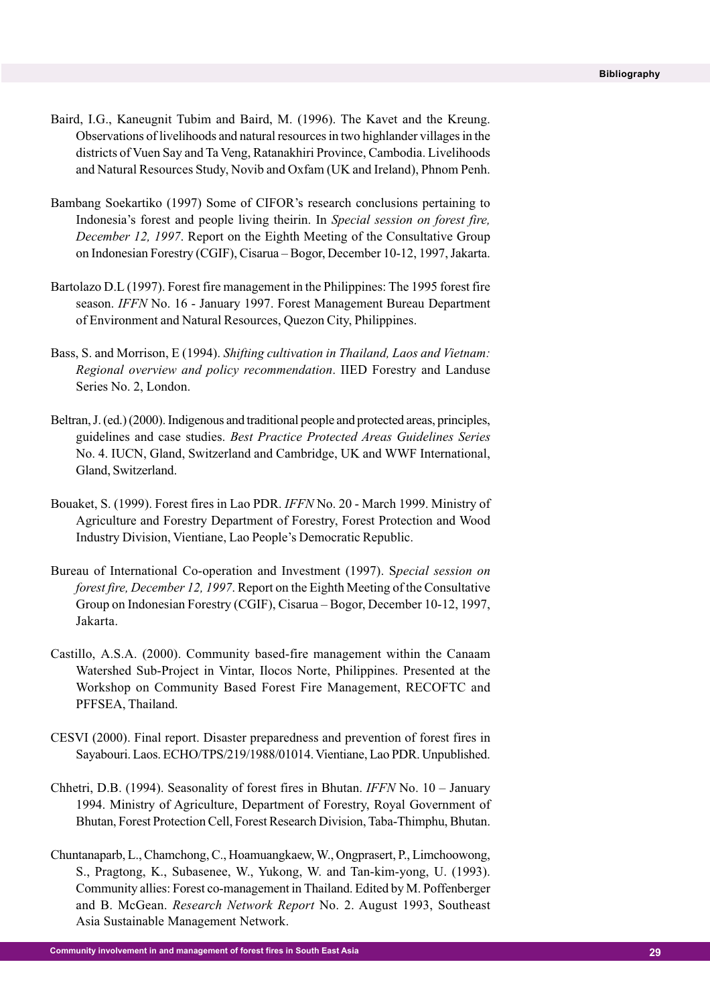- Baird, I.G., Kaneugnit Tubim and Baird, M. (1996). The Kavet and the Kreung. Observations of livelihoods and natural resources in two highlander villages in the districts of Vuen Say and Ta Veng, Ratanakhiri Province, Cambodia. Livelihoods and Natural Resources Study, Novib and Oxfam (UK and Ireland), Phnom Penh.
- Bambang Soekartiko (1997) Some of CIFOR's research conclusions pertaining to Indonesia's forest and people living theirin. In *Special session on forest fire, December 12, 1997*. Report on the Eighth Meeting of the Consultative Group on Indonesian Forestry (CGIF), Cisarua – Bogor, December 10-12, 1997, Jakarta.
- Bartolazo D.L (1997). Forest fire management in the Philippines: The 1995 forest fire season. *IFFN* No. 16 - January 1997. Forest Management Bureau Department of Environment and Natural Resources, Quezon City, Philippines.
- Bass, S. and Morrison, E (1994). *Shifting cultivation in Thailand, Laos and Vietnam: Regional overview and policy recommendation*. IIED Forestry and Landuse Series No. 2, London.
- Beltran, J. (ed.) (2000). Indigenous and traditional people and protected areas, principles, guidelines and case studies. *Best Practice Protected Areas Guidelines Series* No. 4. IUCN, Gland, Switzerland and Cambridge, UK and WWF International, Gland, Switzerland.
- Bouaket, S. (1999). Forest fires in Lao PDR. *IFFN* No. 20 March 1999. Ministry of Agriculture and Forestry Department of Forestry, Forest Protection and Wood Industry Division, Vientiane, Lao People's Democratic Republic.
- Bureau of International Co-operation and Investment (1997). S*pecial session on forest fire, December 12, 1997*. Report on the Eighth Meeting of the Consultative Group on Indonesian Forestry (CGIF), Cisarua – Bogor, December 10-12, 1997, Jakarta.
- Castillo, A.S.A. (2000). Community based-fire management within the Canaam Watershed Sub-Project in Vintar, Ilocos Norte, Philippines. Presented at the Workshop on Community Based Forest Fire Management, RECOFTC and PFFSEA, Thailand.
- CESVI (2000). Final report. Disaster preparedness and prevention of forest fires in Sayabouri. Laos. ECHO/TPS/219/1988/01014. Vientiane, Lao PDR. Unpublished.
- Chhetri, D.B. (1994). Seasonality of forest fires in Bhutan. *IFFN* No. 10 January 1994. Ministry of Agriculture, Department of Forestry, Royal Government of Bhutan, Forest Protection Cell, Forest Research Division, Taba-Thimphu, Bhutan.
- Chuntanaparb, L., Chamchong, C., Hoamuangkaew, W., Ongprasert, P., Limchoowong, S., Pragtong, K., Subasenee, W., Yukong, W. and Tan-kim-yong, U. (1993). Community allies: Forest co-management in Thailand. Edited by M. Poffenberger and B. McGean. *Research Network Report* No. 2. August 1993, Southeast Asia Sustainable Management Network.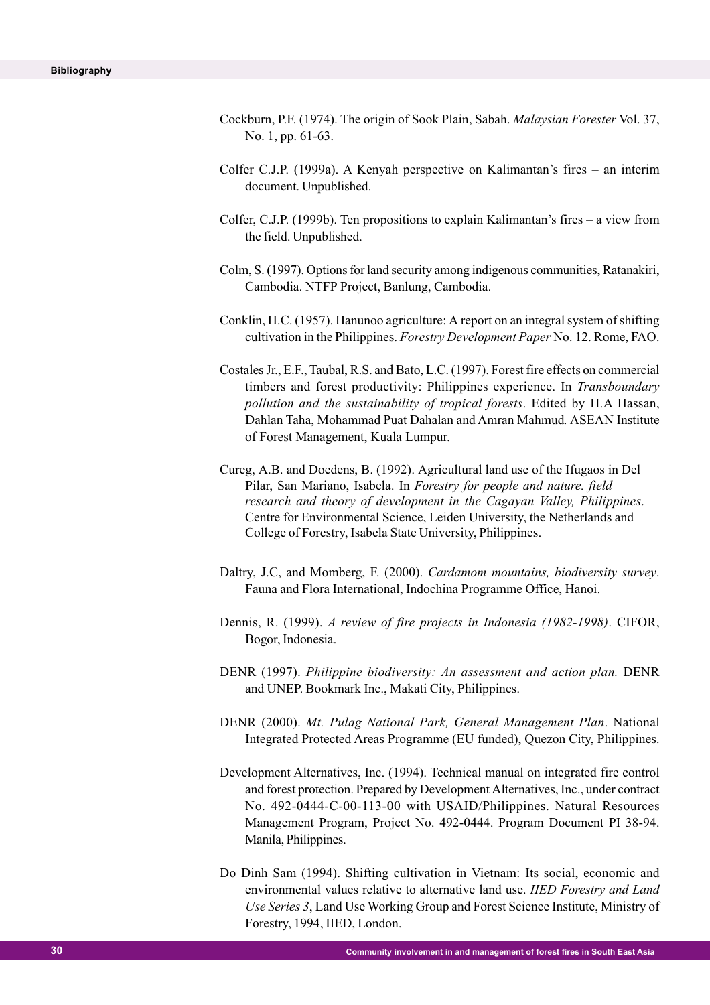- Cockburn, P.F. (1974). The origin of Sook Plain, Sabah. *Malaysian Forester* Vol. 37, No. 1, pp. 61-63.
- Colfer C.J.P. (1999a). A Kenyah perspective on Kalimantan's fires an interim document. Unpublished.
- Colfer, C.J.P. (1999b). Ten propositions to explain Kalimantan's fires a view from the field. Unpublished.
- Colm, S. (1997). Options for land security among indigenous communities, Ratanakiri, Cambodia. NTFP Project, Banlung, Cambodia.
- Conklin, H.C. (1957). Hanunoo agriculture: A report on an integral system of shifting cultivation in the Philippines. *Forestry Development Paper* No. 12. Rome, FAO.
- Costales Jr., E.F., Taubal, R.S. and Bato, L.C. (1997). Forest fire effects on commercial timbers and forest productivity: Philippines experience. In *Transboundary pollution and the sustainability of tropical forests*. Edited by H.A Hassan, Dahlan Taha, Mohammad Puat Dahalan and Amran Mahmud*.* ASEAN Institute of Forest Management, Kuala Lumpur.
- Cureg, A.B. and Doedens, B. (1992). Agricultural land use of the Ifugaos in Del Pilar, San Mariano, Isabela. In *Forestry for people and nature. field research and theory of development in the Cagayan Valley, Philippines*. Centre for Environmental Science, Leiden University, the Netherlands and College of Forestry, Isabela State University, Philippines.
- Daltry, J.C, and Momberg, F. (2000). *Cardamom mountains, biodiversity survey*. Fauna and Flora International, Indochina Programme Office, Hanoi.
- Dennis, R. (1999). *A review of fire projects in Indonesia (1982-1998)*. CIFOR, Bogor, Indonesia.
- DENR (1997). *Philippine biodiversity: An assessment and action plan.* DENR and UNEP. Bookmark Inc., Makati City, Philippines.
- DENR (2000). *Mt. Pulag National Park, General Management Plan*. National Integrated Protected Areas Programme (EU funded), Quezon City, Philippines.
- Development Alternatives, Inc. (1994). Technical manual on integrated fire control and forest protection. Prepared by Development Alternatives, Inc., under contract No. 492-0444-C-00-113-00 with USAID/Philippines. Natural Resources Management Program, Project No. 492-0444. Program Document PI 38-94. Manila, Philippines.
- Do Dinh Sam (1994). Shifting cultivation in Vietnam: Its social, economic and environmental values relative to alternative land use. *IIED Forestry and Land Use Series 3*, Land Use Working Group and Forest Science Institute, Ministry of Forestry, 1994, IIED, London.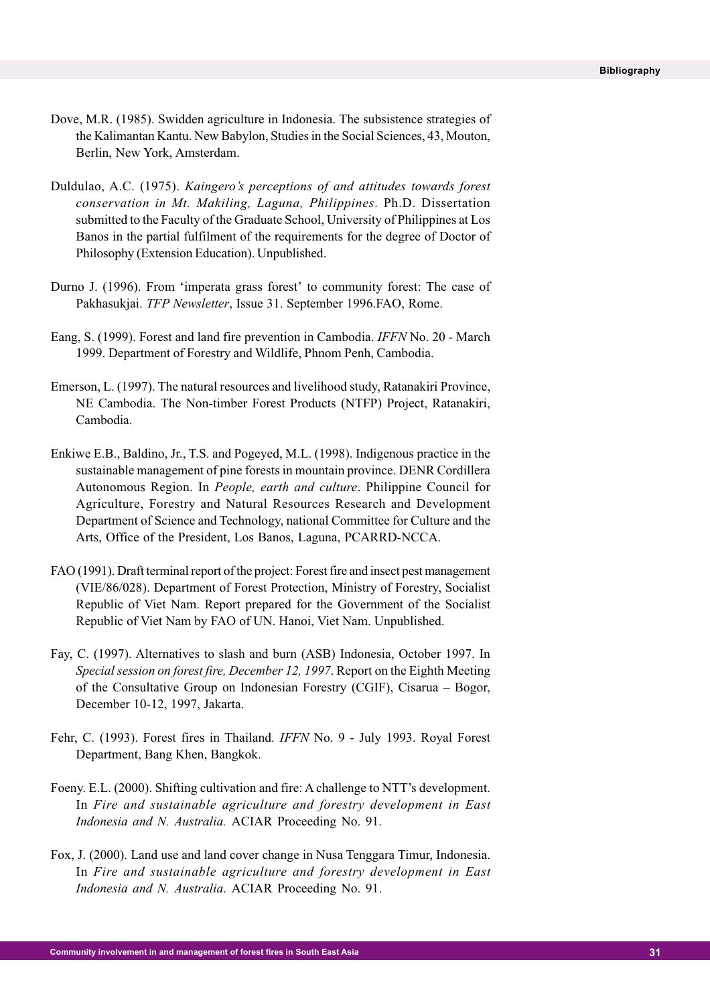- Dove, M.R. (1985). Swidden agriculture in Indonesia. The subsistence strategies of the Kalimantan Kantu. New Babylon, Studies in the Social Sciences, 43, Mouton, Berlin, New York, Amsterdam.
- Duldulao, A.C. (1975). *Kaingero's perceptions of and attitudes towards forest conservation in Mt. Makiling, Laguna, Philippines*. Ph.D. Dissertation submitted to the Faculty of the Graduate School, University of Philippines at Los Banos in the partial fulfilment of the requirements for the degree of Doctor of Philosophy (Extension Education). Unpublished.
- Durno J. (1996). From 'imperata grass forest' to community forest: The case of Pakhasukjai. *TFP Newsletter*, Issue 31. September 1996.FAO, Rome.
- Eang, S. (1999). Forest and land fire prevention in Cambodia. *IFFN* No. 20 March 1999. Department of Forestry and Wildlife, Phnom Penh, Cambodia.
- Emerson, L. (1997). The natural resources and livelihood study, Ratanakiri Province, NE Cambodia. The Non-timber Forest Products (NTFP) Project, Ratanakiri, Cambodia.
- Enkiwe E.B., Baldino, Jr., T.S. and Pogeyed, M.L. (1998). Indigenous practice in the sustainable management of pine forests in mountain province. DENR Cordillera Autonomous Region. In *People, earth and culture*. Philippine Council for Agriculture, Forestry and Natural Resources Research and Development Department of Science and Technology, national Committee for Culture and the Arts, Office of the President, Los Banos, Laguna, PCARRD-NCCA.
- FAO (1991). Draft terminal report of the project: Forest fire and insect pest management (VIE/86/028). Department of Forest Protection, Ministry of Forestry, Socialist Republic of Viet Nam. Report prepared for the Government of the Socialist Republic of Viet Nam by FAO of UN. Hanoi, Viet Nam. Unpublished.
- Fay, C. (1997). Alternatives to slash and burn (ASB) Indonesia, October 1997. In *Special session on forest fire, December 12, 1997*. Report on the Eighth Meeting of the Consultative Group on Indonesian Forestry (CGIF), Cisarua – Bogor, December 10-12, 1997, Jakarta.
- Fehr, C. (1993). Forest fires in Thailand. *IFFN* No. 9 July 1993. Royal Forest Department, Bang Khen, Bangkok.
- Foeny. E.L. (2000). Shifting cultivation and fire: A challenge to NTT's development. In *Fire and sustainable agriculture and forestry development in East Indonesia and N. Australia.* ACIAR Proceeding No. 91.
- Fox, J. (2000). Land use and land cover change in Nusa Tenggara Timur, Indonesia. In *Fire and sustainable agriculture and forestry development in East Indonesia and N. Australia*. ACIAR Proceeding No. 91.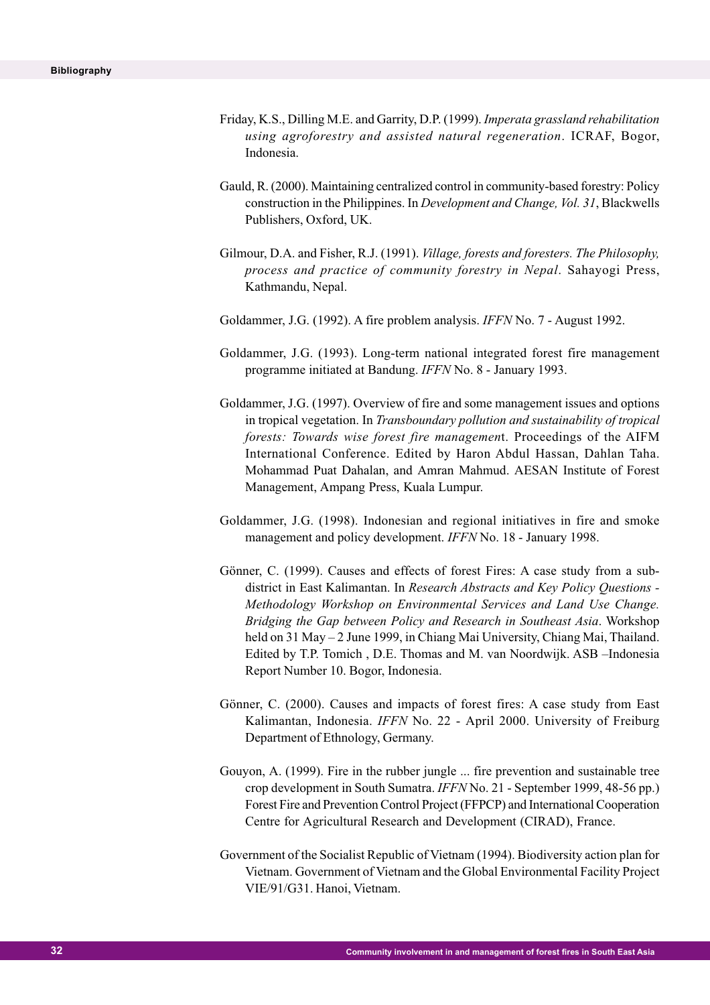- Friday, K.S., Dilling M.E. and Garrity, D.P. (1999). *Imperata grassland rehabilitation using agroforestry and assisted natural regeneration*. ICRAF, Bogor, Indonesia.
- Gauld, R. (2000). Maintaining centralized control in community-based forestry: Policy construction in the Philippines. In *Development and Change, Vol. 31*, Blackwells Publishers, Oxford, UK.
- Gilmour, D.A. and Fisher, R.J. (1991). *Village, forests and foresters. The Philosophy, process and practice of community forestry in Nepal*. Sahayogi Press, Kathmandu, Nepal.
- Goldammer, J.G. (1992). A fire problem analysis. *IFFN* No. 7 August 1992.
- Goldammer, J.G. (1993). Long-term national integrated forest fire management programme initiated at Bandung. *IFFN* No. 8 - January 1993.
- Goldammer, J.G. (1997). Overview of fire and some management issues and options in tropical vegetation. In *Transboundary pollution and sustainability of tropical forests: Towards wise forest fire managemen*t. Proceedings of the AIFM International Conference. Edited by Haron Abdul Hassan, Dahlan Taha. Mohammad Puat Dahalan, and Amran Mahmud. AESAN Institute of Forest Management, Ampang Press, Kuala Lumpur.
- Goldammer, J.G. (1998). Indonesian and regional initiatives in fire and smoke management and policy development. *IFFN* No. 18 - January 1998.
- Gönner, C. (1999). Causes and effects of forest Fires: A case study from a subdistrict in East Kalimantan. In *Research Abstracts and Key Policy Questions - Methodology Workshop on Environmental Services and Land Use Change. Bridging the Gap between Policy and Research in Southeast Asia*. Workshop held on 31 May – 2 June 1999, in Chiang Mai University, Chiang Mai, Thailand. Edited by T.P. Tomich , D.E. Thomas and M. van Noordwijk. ASB –Indonesia Report Number 10. Bogor, Indonesia.
- Gönner, C. (2000). Causes and impacts of forest fires: A case study from East Kalimantan, Indonesia. *IFFN* No. 22 - April 2000. University of Freiburg Department of Ethnology, Germany.
- Gouyon, A. (1999). Fire in the rubber jungle ... fire prevention and sustainable tree crop development in South Sumatra. *IFFN* No. 21 - September 1999, 48-56 pp.) Forest Fire and Prevention Control Project (FFPCP) and International Cooperation Centre for Agricultural Research and Development (CIRAD), France.
- Government of the Socialist Republic of Vietnam (1994). Biodiversity action plan for Vietnam. Government of Vietnam and the Global Environmental Facility Project VIE/91/G31. Hanoi, Vietnam.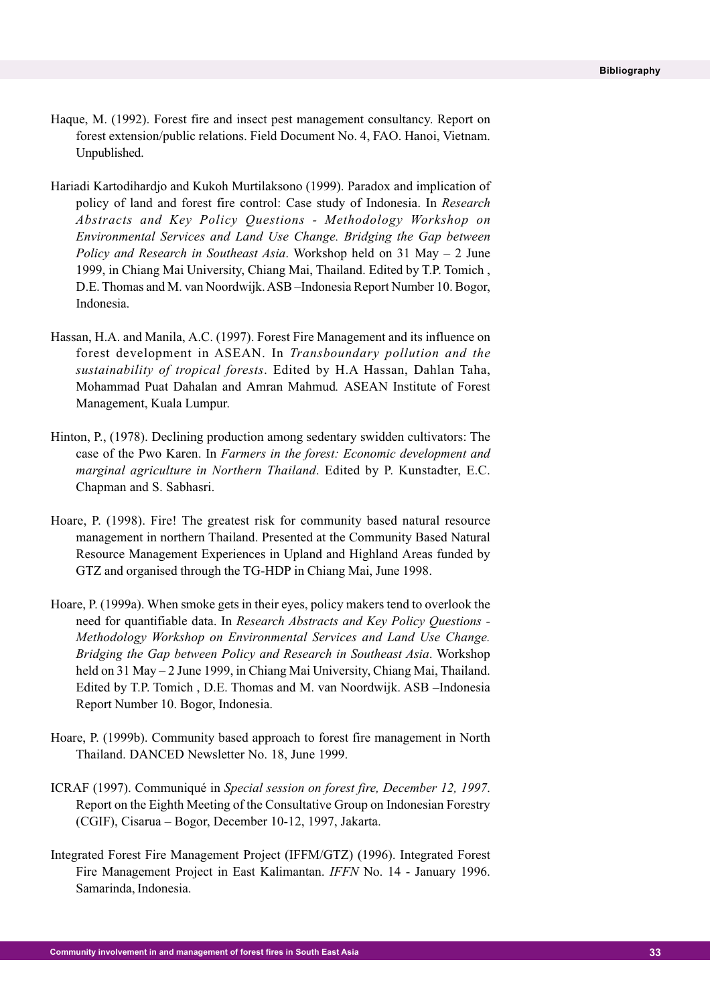- Haque, M. (1992). Forest fire and insect pest management consultancy. Report on forest extension/public relations. Field Document No. 4, FAO. Hanoi, Vietnam. Unpublished.
- Hariadi Kartodihardjo and Kukoh Murtilaksono (1999). Paradox and implication of policy of land and forest fire control: Case study of Indonesia. In *Research Abstracts and Key Policy Questions - Methodology Workshop on Environmental Services and Land Use Change. Bridging the Gap between Policy and Research in Southeast Asia*. Workshop held on 31 May – 2 June 1999, in Chiang Mai University, Chiang Mai, Thailand. Edited by T.P. Tomich , D.E. Thomas and M. van Noordwijk. ASB –Indonesia Report Number 10. Bogor, Indonesia.
- Hassan, H.A. and Manila, A.C. (1997). Forest Fire Management and its influence on forest development in ASEAN. In *Transboundary pollution and the sustainability of tropical forests*. Edited by H.A Hassan, Dahlan Taha, Mohammad Puat Dahalan and Amran Mahmud*.* ASEAN Institute of Forest Management, Kuala Lumpur.
- Hinton, P., (1978). Declining production among sedentary swidden cultivators: The case of the Pwo Karen. In *Farmers in the forest: Economic development and marginal agriculture in Northern Thailand*. Edited by P. Kunstadter, E.C. Chapman and S. Sabhasri.
- Hoare, P. (1998). Fire! The greatest risk for community based natural resource management in northern Thailand. Presented at the Community Based Natural Resource Management Experiences in Upland and Highland Areas funded by GTZ and organised through the TG-HDP in Chiang Mai, June 1998.
- Hoare, P. (1999a). When smoke gets in their eyes, policy makers tend to overlook the need for quantifiable data. In *Research Abstracts and Key Policy Questions - Methodology Workshop on Environmental Services and Land Use Change. Bridging the Gap between Policy and Research in Southeast Asia*. Workshop held on 31 May – 2 June 1999, in Chiang Mai University, Chiang Mai, Thailand. Edited by T.P. Tomich , D.E. Thomas and M. van Noordwijk. ASB –Indonesia Report Number 10. Bogor, Indonesia.
- Hoare, P. (1999b). Community based approach to forest fire management in North Thailand. DANCED Newsletter No. 18, June 1999.
- ICRAF (1997). Communiqué in *Special session on forest fire, December 12, 1997*. Report on the Eighth Meeting of the Consultative Group on Indonesian Forestry (CGIF), Cisarua – Bogor, December 10-12, 1997, Jakarta.
- Integrated Forest Fire Management Project (IFFM/GTZ) (1996). Integrated Forest Fire Management Project in East Kalimantan. *IFFN* No. 14 - January 1996. Samarinda, Indonesia.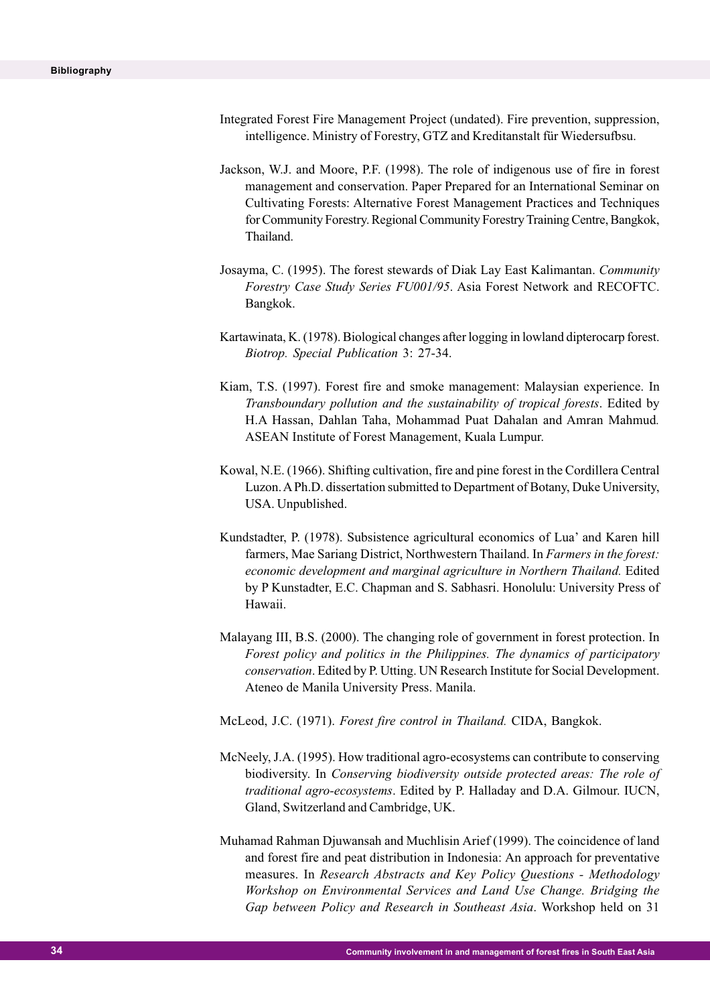- Integrated Forest Fire Management Project (undated). Fire prevention, suppression, intelligence. Ministry of Forestry, GTZ and Kreditanstalt für Wiedersufbsu.
- Jackson, W.J. and Moore, P.F. (1998). The role of indigenous use of fire in forest management and conservation. Paper Prepared for an International Seminar on Cultivating Forests: Alternative Forest Management Practices and Techniques for Community Forestry. Regional Community Forestry Training Centre, Bangkok, Thailand.
- Josayma, C. (1995). The forest stewards of Diak Lay East Kalimantan. *Community Forestry Case Study Series FU001/95*. Asia Forest Network and RECOFTC. Bangkok.
- Kartawinata, K. (1978). Biological changes after logging in lowland dipterocarp forest. *Biotrop. Special Publication* 3: 27-34.
- Kiam, T.S. (1997). Forest fire and smoke management: Malaysian experience. In *Transboundary pollution and the sustainability of tropical forests*. Edited by H.A Hassan, Dahlan Taha, Mohammad Puat Dahalan and Amran Mahmud*.* ASEAN Institute of Forest Management, Kuala Lumpur.
- Kowal, N.E. (1966). Shifting cultivation, fire and pine forest in the Cordillera Central Luzon. A Ph.D. dissertation submitted to Department of Botany, Duke University, USA. Unpublished.
- Kundstadter, P. (1978). Subsistence agricultural economics of Lua' and Karen hill farmers, Mae Sariang District, Northwestern Thailand. In *Farmers in the forest: economic development and marginal agriculture in Northern Thailand.* Edited by P Kunstadter, E.C. Chapman and S. Sabhasri. Honolulu: University Press of Hawaii.
- Malayang III, B.S. (2000). The changing role of government in forest protection. In *Forest policy and politics in the Philippines. The dynamics of participatory conservation*. Edited by P. Utting. UN Research Institute for Social Development. Ateneo de Manila University Press. Manila.
- McLeod, J.C. (1971). *Forest fire control in Thailand.* CIDA, Bangkok.
- McNeely, J.A. (1995). How traditional agro-ecosystems can contribute to conserving biodiversity. In *Conserving biodiversity outside protected areas: The role of traditional agro-ecosystems*. Edited by P. Halladay and D.A. Gilmour. IUCN, Gland, Switzerland and Cambridge, UK.
- Muhamad Rahman Djuwansah and Muchlisin Arief (1999). The coincidence of land and forest fire and peat distribution in Indonesia: An approach for preventative measures. In *Research Abstracts and Key Policy Questions - Methodology Workshop on Environmental Services and Land Use Change. Bridging the Gap between Policy and Research in Southeast Asia*. Workshop held on 31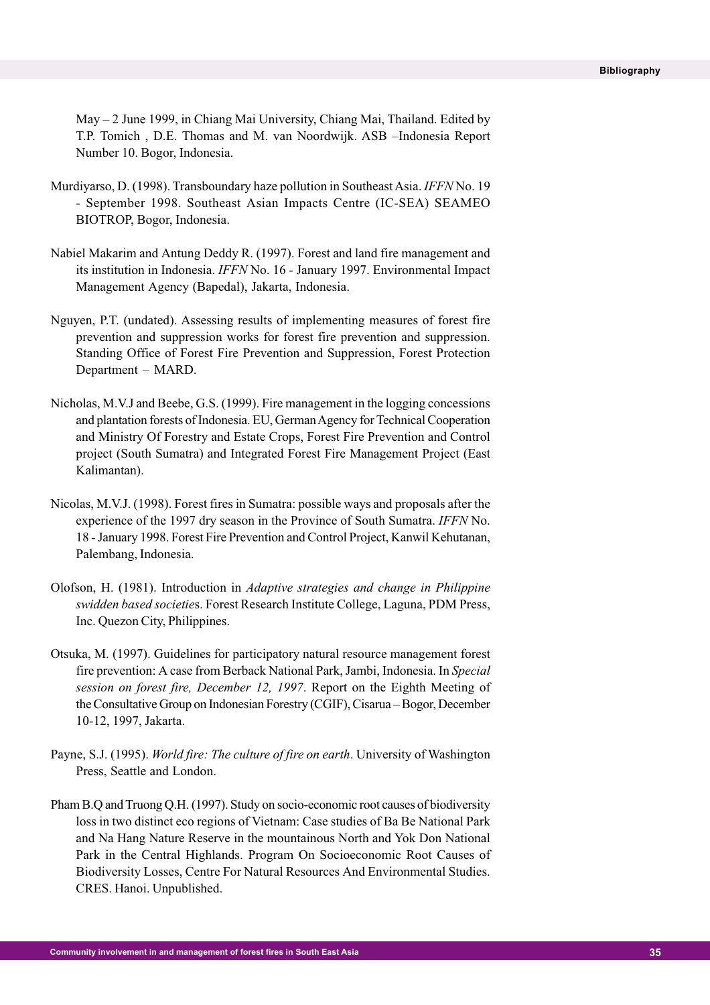May – 2 June 1999, in Chiang Mai University, Chiang Mai, Thailand. Edited by T.P. Tomich , D.E. Thomas and M. van Noordwijk. ASB –Indonesia Report Number 10. Bogor, Indonesia.

- Murdiyarso, D. (1998). Transboundary haze pollution in Southeast Asia. *IFFN* No. 19 - September 1998. Southeast Asian Impacts Centre (IC-SEA) SEAMEO BIOTROP, Bogor, Indonesia.
- Nabiel Makarim and Antung Deddy R. (1997). Forest and land fire management and its institution in Indonesia. *IFFN* No. 16 - January 1997. Environmental Impact Management Agency (Bapedal), Jakarta, Indonesia.
- Nguyen, P.T. (undated). Assessing results of implementing measures of forest fire prevention and suppression works for forest fire prevention and suppression. Standing Office of Forest Fire Prevention and Suppression, Forest Protection Department – MARD.
- Nicholas, M.V.J and Beebe, G.S. (1999). Fire management in the logging concessions and plantation forests of Indonesia. EU, German Agency for Technical Cooperation and Ministry Of Forestry and Estate Crops, Forest Fire Prevention and Control project (South Sumatra) and Integrated Forest Fire Management Project (East Kalimantan).
- Nicolas, M.V.J. (1998). Forest fires in Sumatra: possible ways and proposals after the experience of the 1997 dry season in the Province of South Sumatra. *IFFN* No. 18 - January 1998. Forest Fire Prevention and Control Project, Kanwil Kehutanan, Palembang, Indonesia.
- Olofson, H. (1981). Introduction in *Adaptive strategies and change in Philippine swidden based societie*s. Forest Research Institute College, Laguna, PDM Press, Inc. Quezon City, Philippines.
- Otsuka, M. (1997). Guidelines for participatory natural resource management forest fire prevention: A case from Berback National Park, Jambi, Indonesia. In *Special session on forest fire, December 12, 1997*. Report on the Eighth Meeting of the Consultative Group on Indonesian Forestry (CGIF), Cisarua – Bogor, December 10-12, 1997, Jakarta.
- Payne, S.J. (1995). *World fire: The culture of fire on earth*. University of Washington Press, Seattle and London.
- Pham B.Q and Truong Q.H. (1997). Study on socio-economic root causes of biodiversity loss in two distinct eco regions of Vietnam: Case studies of Ba Be National Park and Na Hang Nature Reserve in the mountainous North and Yok Don National Park in the Central Highlands. Program On Socioeconomic Root Causes of Biodiversity Losses, Centre For Natural Resources And Environmental Studies. CRES. Hanoi. Unpublished.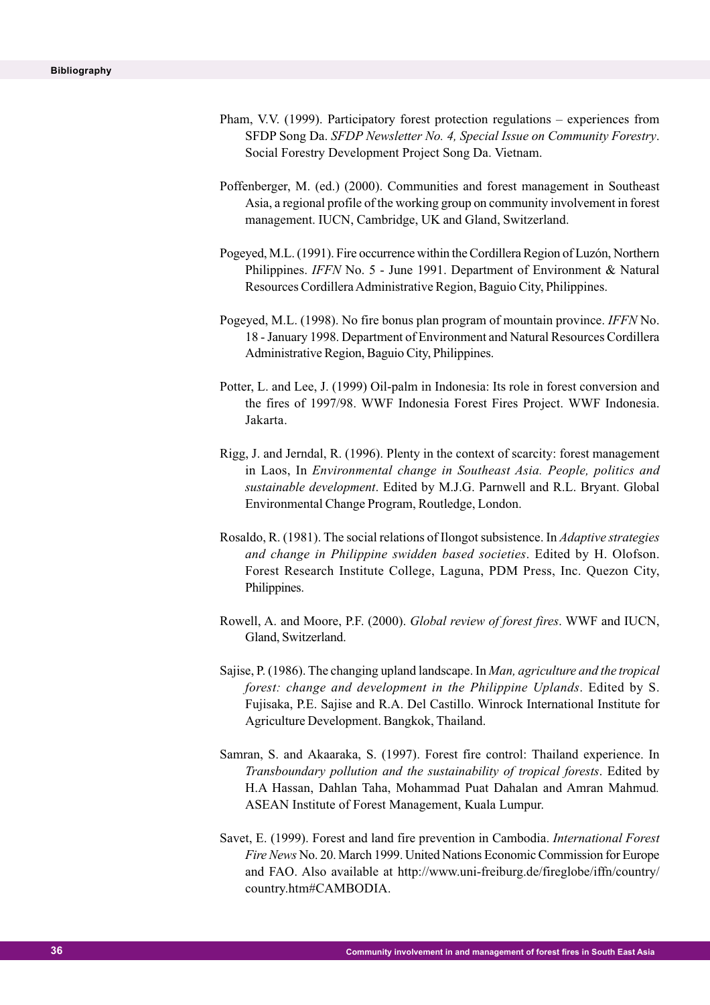- Pham, V.V. (1999). Participatory forest protection regulations experiences from SFDP Song Da. *SFDP Newsletter No. 4, Special Issue on Community Forestry*. Social Forestry Development Project Song Da. Vietnam.
- Poffenberger, M. (ed.) (2000). Communities and forest management in Southeast Asia, a regional profile of the working group on community involvement in forest management. IUCN, Cambridge, UK and Gland, Switzerland.
- Pogeyed, M.L. (1991). Fire occurrence within the Cordillera Region of Luzón, Northern Philippines. *IFFN* No. 5 - June 1991. Department of Environment & Natural Resources Cordillera Administrative Region, Baguio City, Philippines.
- Pogeyed, M.L. (1998). No fire bonus plan program of mountain province. *IFFN* No. 18 - January 1998. Department of Environment and Natural Resources Cordillera Administrative Region, Baguio City, Philippines.
- Potter, L. and Lee, J. (1999) Oil-palm in Indonesia: Its role in forest conversion and the fires of 1997/98. WWF Indonesia Forest Fires Project. WWF Indonesia. Jakarta.
- Rigg, J. and Jerndal, R. (1996). Plenty in the context of scarcity: forest management in Laos, In *Environmental change in Southeast Asia. People, politics and sustainable development*. Edited by M.J.G. Parnwell and R.L. Bryant. Global Environmental Change Program, Routledge, London.
- Rosaldo, R. (1981). The social relations of Ilongot subsistence. In *Adaptive strategies and change in Philippine swidden based societies*. Edited by H. Olofson. Forest Research Institute College, Laguna, PDM Press, Inc. Quezon City, Philippines.
- Rowell, A. and Moore, P.F. (2000). *Global review of forest fires*. WWF and IUCN, Gland, Switzerland.
- Sajise, P. (1986). The changing upland landscape. In *Man, agriculture and the tropical forest: change and development in the Philippine Uplands*. Edited by S. Fujisaka, P.E. Sajise and R.A. Del Castillo. Winrock International Institute for Agriculture Development. Bangkok, Thailand.
- Samran, S. and Akaaraka, S. (1997). Forest fire control: Thailand experience. In *Transboundary pollution and the sustainability of tropical forests*. Edited by H.A Hassan, Dahlan Taha, Mohammad Puat Dahalan and Amran Mahmud*.* ASEAN Institute of Forest Management, Kuala Lumpur.
- Savet, E. (1999). Forest and land fire prevention in Cambodia. *International Forest Fire News* No. 20. March 1999. United Nations Economic Commission for Europe and FAO. Also available at http://www.uni-freiburg.de/fireglobe/iffn/country/ country.htm#CAMBODIA.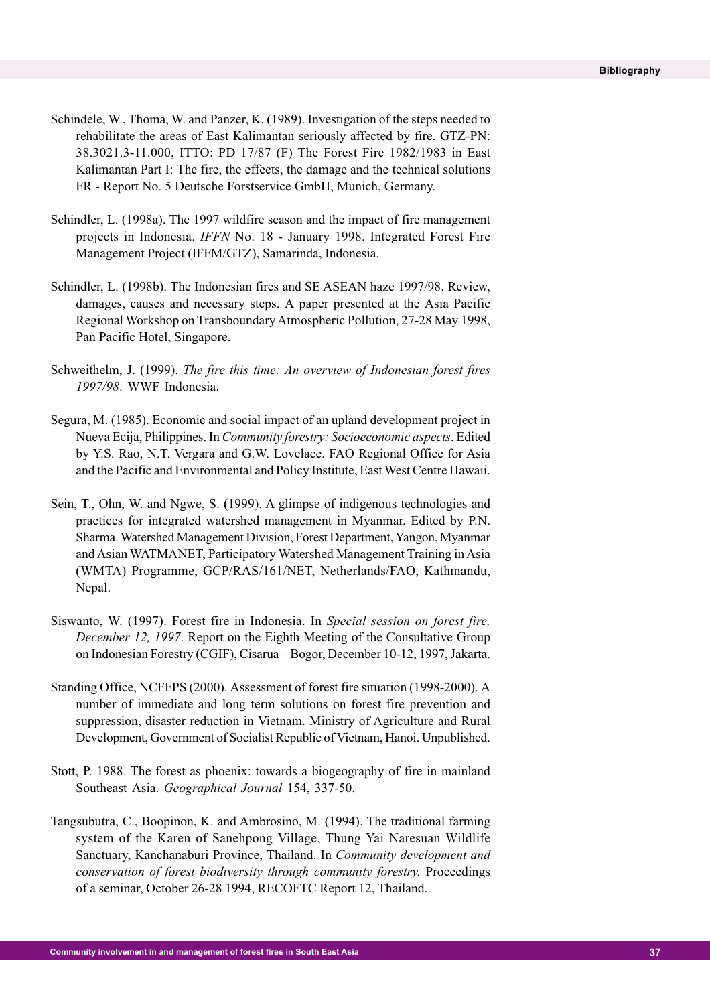- Schindele, W., Thoma, W. and Panzer, K. (1989). Investigation of the steps needed to rehabilitate the areas of East Kalimantan seriously affected by fire. GTZ-PN: 38.3021.3-11.000, ITTO: PD 17/87 (F) The Forest Fire 1982/1983 in East Kalimantan Part I: The fire, the effects, the damage and the technical solutions FR - Report No. 5 Deutsche Forstservice GmbH, Munich, Germany.
- Schindler, L. (1998a). The 1997 wildfire season and the impact of fire management projects in Indonesia. *IFFN* No. 18 - January 1998. Integrated Forest Fire Management Project (IFFM/GTZ), Samarinda, Indonesia.
- Schindler, L. (1998b). The Indonesian fires and SE ASEAN haze 1997/98. Review, damages, causes and necessary steps. A paper presented at the Asia Pacific Regional Workshop on Transboundary Atmospheric Pollution, 27-28 May 1998, Pan Pacific Hotel, Singapore.
- Schweithelm, J. (1999). *The fire this time: An overview of Indonesian forest fires 1997/98*. WWF Indonesia.
- Segura, M. (1985). Economic and social impact of an upland development project in Nueva Ecija, Philippines. In *Community forestry: Socioeconomic aspects*. Edited by Y.S. Rao, N.T. Vergara and G.W. Lovelace. FAO Regional Office for Asia and the Pacific and Environmental and Policy Institute, East West Centre Hawaii.
- Sein, T., Ohn, W. and Ngwe, S. (1999). A glimpse of indigenous technologies and practices for integrated watershed management in Myanmar. Edited by P.N. Sharma. Watershed Management Division, Forest Department, Yangon, Myanmar and Asian WATMANET, Participatory Watershed Management Training in Asia (WMTA) Programme, GCP/RAS/161/NET, Netherlands/FAO, Kathmandu, Nepal.
- Siswanto, W. (1997). Forest fire in Indonesia. In *Special session on forest fire, December 12, 1997*. Report on the Eighth Meeting of the Consultative Group on Indonesian Forestry (CGIF), Cisarua – Bogor, December 10-12, 1997, Jakarta.
- Standing Office, NCFFPS (2000). Assessment of forest fire situation (1998-2000). A number of immediate and long term solutions on forest fire prevention and suppression, disaster reduction in Vietnam. Ministry of Agriculture and Rural Development, Government of Socialist Republic of Vietnam, Hanoi. Unpublished.
- Stott, P. 1988. The forest as phoenix: towards a biogeography of fire in mainland Southeast Asia. *Geographical Journal* 154, 337-50.
- Tangsubutra, C., Boopinon, K. and Ambrosino, M. (1994). The traditional farming system of the Karen of Sanehpong Village, Thung Yai Naresuan Wildlife Sanctuary, Kanchanaburi Province, Thailand. In *Community development and conservation of forest biodiversity through community forestry.* Proceedings of a seminar, October 26-28 1994, RECOFTC Report 12, Thailand.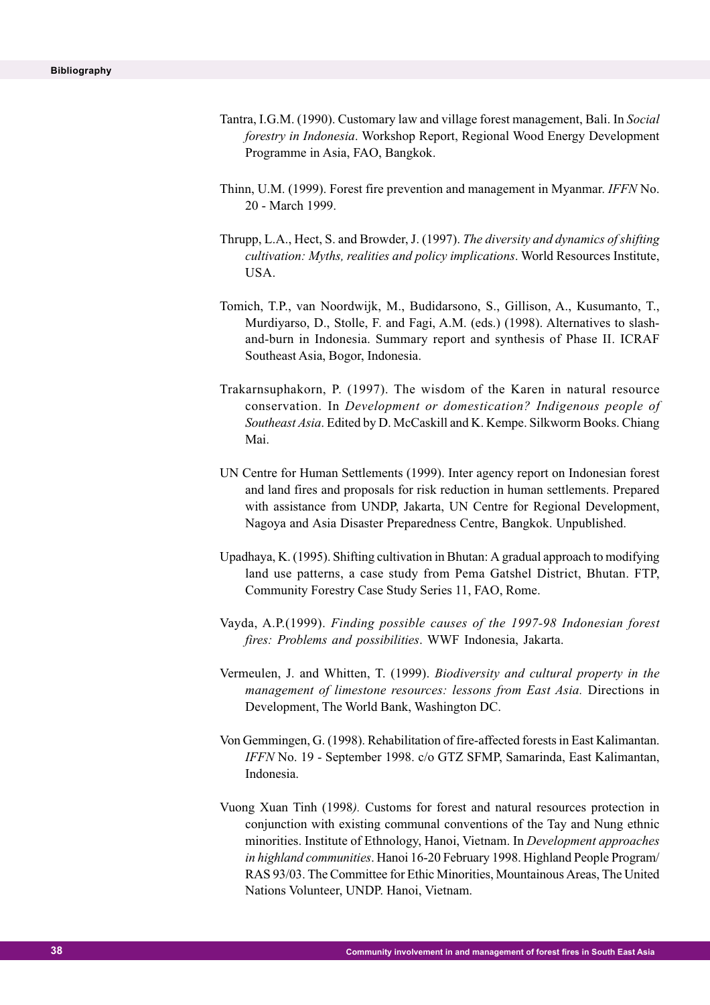- Tantra, I.G.M. (1990). Customary law and village forest management, Bali. In *Social forestry in Indonesia*. Workshop Report, Regional Wood Energy Development Programme in Asia, FAO, Bangkok.
- Thinn, U.M. (1999). Forest fire prevention and management in Myanmar. *IFFN* No. 20 - March 1999.
- Thrupp, L.A., Hect, S. and Browder, J. (1997). *The diversity and dynamics of shifting cultivation: Myths, realities and policy implications*. World Resources Institute, USA.
- Tomich, T.P., van Noordwijk, M., Budidarsono, S., Gillison, A., Kusumanto, T., Murdiyarso, D., Stolle, F. and Fagi, A.M. (eds.) (1998). Alternatives to slashand-burn in Indonesia. Summary report and synthesis of Phase II. ICRAF Southeast Asia, Bogor, Indonesia.
- Trakarnsuphakorn, P. (1997). The wisdom of the Karen in natural resource conservation. In *Development or domestication? Indigenous people of Southeast Asia*. Edited by D. McCaskill and K. Kempe. Silkworm Books. Chiang Mai.
- UN Centre for Human Settlements (1999). Inter agency report on Indonesian forest and land fires and proposals for risk reduction in human settlements. Prepared with assistance from UNDP, Jakarta, UN Centre for Regional Development, Nagoya and Asia Disaster Preparedness Centre, Bangkok. Unpublished.
- Upadhaya, K. (1995). Shifting cultivation in Bhutan: A gradual approach to modifying land use patterns, a case study from Pema Gatshel District, Bhutan. FTP, Community Forestry Case Study Series 11, FAO, Rome.
- Vayda, A.P.(1999). *Finding possible causes of the 1997-98 Indonesian forest fires: Problems and possibilities*. WWF Indonesia, Jakarta.
- Vermeulen, J. and Whitten, T. (1999). *Biodiversity and cultural property in the management of limestone resources: lessons from East Asia.* Directions in Development, The World Bank, Washington DC.
- Von Gemmingen, G. (1998). Rehabilitation of fire-affected forests in East Kalimantan. *IFFN* No. 19 - September 1998. c/o GTZ SFMP, Samarinda, East Kalimantan, Indonesia.
- Vuong Xuan Tinh (1998*).* Customs for forest and natural resources protection in conjunction with existing communal conventions of the Tay and Nung ethnic minorities. Institute of Ethnology, Hanoi, Vietnam. In *Development approaches in highland communities*. Hanoi 16-20 February 1998. Highland People Program/ RAS 93/03. The Committee for Ethic Minorities, Mountainous Areas, The United Nations Volunteer, UNDP. Hanoi, Vietnam.